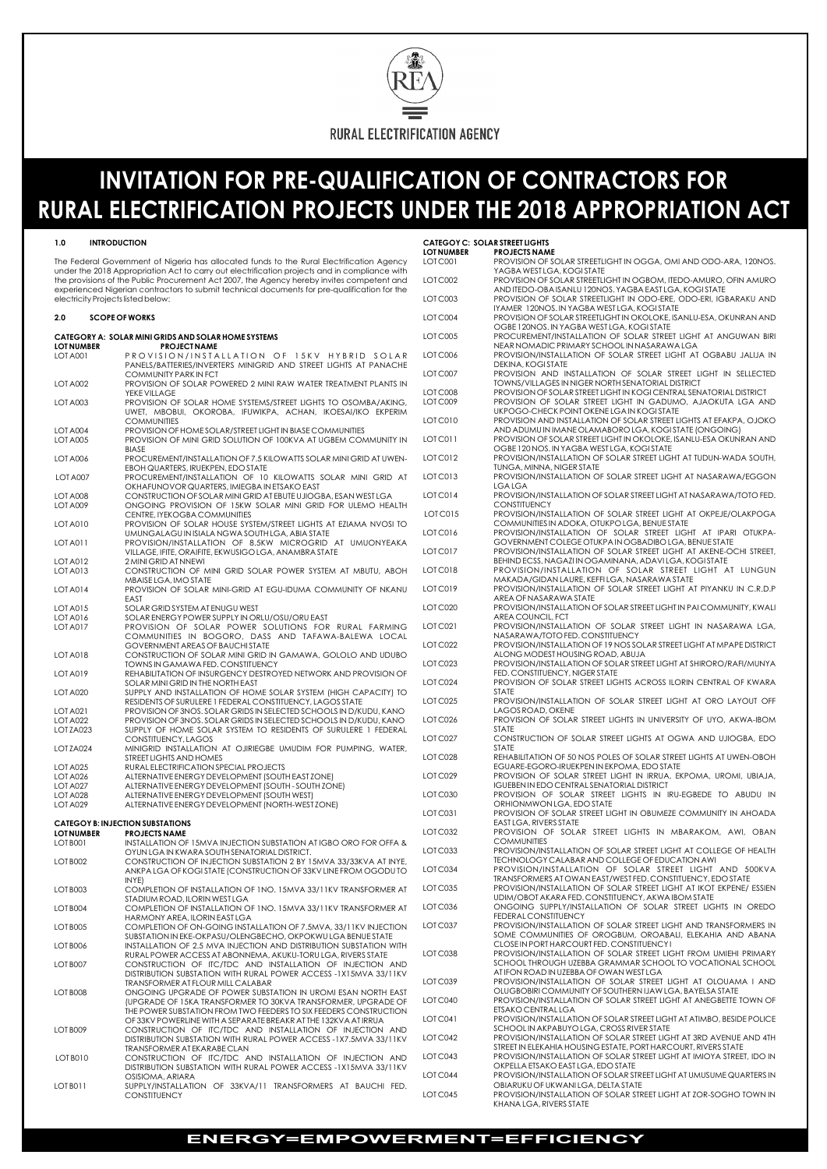

# **INVITATION FOR PRE-QUALIFICATION OF CONTRACTORS FOR RURAL ELECTRIFICATION PROJECTS UNDER THE 2018 APPROPRIATION ACT**

### **1.0 INTRODUCTION CATEGOY C: SOLAR STREET LIGHTS**

### **CATEGORY A: SOLAR MINI GRIDS AND SOLAR HOME SYSTEMS LOT NUMBER PROJECT NAME** NEAR NOMADIC PRIMARY SCHOOL IN NASARAWA LGA LOT A001 PROVISION/INSTALLATION OF 15KV HYBRID SOLAR PANELS/BATTERIES/INVERTERS MINIGRID AND STREET LIGHTS AT PANACHE COMMUNITY PARK IN FCT LOT A002 PROVISION OF SOLAR POWERED 2 MINI RAW WATER TREATMENT PLANTS IN LOT A003 PROVISION OF SOLAR HOME SYSTEMS/STREET LIGHTS TO OSOMBA/AKING, UWET, MBOBUI, OKOROBA, IFUWIKPA, ACHAN, IKOESAI/IKO EKPERIM<br>COMMUNITIES LOT A004 PROVISION OF HOME SOLAR/STREET LIGHT IN BIASE COMMUNITIES LOT A005 PROVISION OF MINI GRID SOLUTION OF 100KVA AT UGBEM COMMUNITY IN BIASE OGBE 120 NOS. IN YAGBA WEST LGA, KOGI STATE LOT A006 PROCUREMENT/INSTALLATION OF 7.5 KILOWATTS SOLAR MINI GRID AT UWEN-EBOH QUARTERS, IRUEKPEN, EDO STATE LOT A007 PROCUREMENT/INSTALLATION OF 10 KILOWATTS SOLAR MINI GRID AT OKHAFUNOVOR QUARTERS, IMIEGBA IN ETSAKO EAST LOT A008 CONSTRUCTION OF SOLAR MINI GRID AT EBUTE UJIOGBA, ESAN WEST LGA LOT A009 ONGOING PROVISION OF 15KW SOLAR MINI GRID FOR ULEMO HEALTH CENTRE, IYEKOGBA COMMUNITIES LOT A010 PROVISION OF SOLAR HOUSE SYSTEM/STREET LIGHTS AT EZIAMA NVOSI TO UMUNGALAGU IN ISIALA NGWA SOUTH LGA, ABIA STATE LOT A011 PROVISION/INSTALLATION OF 8.5KW MICROGRID AT UMUONYEAKA VILLAGE, IFITE, ORAIFITE, EKWUSIGO LGA, ANAMBRA STATE LOT A012 2 MINI GRID AT NNEWI LOT A013 CONSTRUCTION OF MINI GRID SOLAR POWER SYSTEM AT MBUTU, ABOH MBAISE LGA, IMO STATE LOT A014 PROVISION OF SOLAR MINI-GRID AT EGU-IDUMA COMMUNITY OF NKANU EAST AREA OF NASARAWA STATE AND THE SERVER OF NASARAWA STATE AND THE SERVER OF NASARAWA STATE LOT A015 SOLAR GRID SYSTEM AT ENUGU WEST<br>LOT A016 PROVISION SOLAR ENERGY POWER SUPPLY IN OP SOLAR ENERGY POWER SUPPLY IN ORLU/OSU/ORU EAST LOT A017 PROVISION OF SOLAR POWER SOLUTIONS FOR RURAL FARMING COMMUNITIES IN BOGORO, DASS AND TAFAWA-BALEWA LOCAL GOVERNMENT AREAS OF BAUCHI STATE LOT A018 CONSTRUCTION OF SOLAR MINI GRID IN GAMAWA, GOLOLO AND UDUBO TOWNS IN GAMAWA FED. CONSTITUENCY LOT A019 REHABILITATION OF INSURGENCY DESTROYED NETWORK AND PROVISION OF SOLAR MINI GRID IN THE NORTH EAST LOT A020 SUPPLY AND INSTALLATION OF HOME SOLAR SYSTEM (HIGH CAPACITY) TO RESIDENTS OF SURULERE 1 FEDERAL CONSTITUENCY, LAGOS STATE LOT A021 PROVISION OF 3NOS. SOLAR GRIDS IN SELECTED SCHOOLS IN D/KUDU, KANO LOT A022 PROVISION OF 3NOS. SOLAR GRIDS IN SELECTED SCHOOLS IN D/KUDU, KANO LOT ZA023 SUPPLY OF HOME SOLAR SYSTEM TO RESIDENTS OF SURULERE 1 FEDERAL CONSTITUENCY, LAGOS LOT ZA024 MINIGRID INSTALLATION AT OJIRIEGBE UMUDIM FOR PUMPING, WATER, STREET LIGHTS AND HOMES LOT A025 RURAL ELECTRIFICATION SPECIAL PROJECTS<br>LOT A026 ALTERNATIVE ENERGY DEVELOPMENT (SOUT ALTERNATIVE ENERGY DEVELOPMENT (SOUTH EAST ZONE) LOT A027 ALTERNATIVE ENERGY DEVELOPMENT (SOUTH - SOUTH ZONE) LOT A028 ALTERNATIVE ENERGY DEVELOPMENT (SOUTH WEST) LOT A029 ALTERNATIVE ENERGY DEVELOPMENT (NORTH-WEST ZONE) **CATEGOY B: INJECTION SUBSTATIONS LOT NUMBER PROJECTS NAME** LOT C032 PROVISION OF SOLAR STREET LIGHTS IN MBARAKOM, AWI, OBAN LOT B001 INSTALLATION OF 15MVA INJECTION SUBSTATION AT IGBO ORO FOR OFFA &

|                                                                                                                                                                                                                                  |                                                                                                                                              | <b>LOT NUMBER</b> | <b>PROJECTS NAME</b>                                                                                                         |
|----------------------------------------------------------------------------------------------------------------------------------------------------------------------------------------------------------------------------------|----------------------------------------------------------------------------------------------------------------------------------------------|-------------------|------------------------------------------------------------------------------------------------------------------------------|
| The Federal Government of Nigeria has allocated funds to the Rural Electrification Agency<br>under the 2018 Appropriation Act to carry out electrification projects and in compliance with                                       |                                                                                                                                              | LOTC001           | PROVISION OF SOLAR STREETLIGHT IN OGGA, OMI AND ODO-ARA, 120NOS.<br>YAGBA WESTLGA, KOGISTATE                                 |
| the provisions of the Public Procurement Act 2007, the Agency hereby invites competent and<br>experienced Nigerian contractors to submit technical documents for pre-qualification for the<br>electricity Projects listed below: |                                                                                                                                              | LOT C002          | PROVISION OF SOLAR STREETLIGHT IN OGBOM, ITEDO-AMURO, OFIN AMURO<br>AND ITEDO-OBA ISANLU 120NOS. YAGBA EAST LGA, KOGI STATE  |
|                                                                                                                                                                                                                                  |                                                                                                                                              | LOT C003          | PROVISION OF SOLAR STREETLIGHT IN ODO-ERE, ODO-ERI, IGBARAKU AND<br>IYAMER 120NOS. IN YAGBA WEST LGA, KOGI STATE             |
| 2.0                                                                                                                                                                                                                              | <b>SCOPE OF WORKS</b>                                                                                                                        | LOTC004           | PROVISION OF SOLAR STREETLIGHT IN OKOLOKE, ISANLU-ESA, OKUNRAN AND<br>OGBE 120NOS. IN YAGBA WEST LGA, KOGI STATE             |
| LOT NUMBER                                                                                                                                                                                                                       | CATEGORY A: SOLAR MINI GRIDS AND SOLAR HOME SYSTEMS<br><b>PROJECT NAME</b>                                                                   | LOT C005          | PROCUREMENT/INSTALLATION OF SOLAR STREET LIGHT AT ANGUWAN BIRI<br>NEAR NOMADIC PRIMARY SCHOOL IN NASARAWA LGA                |
| LOT A001                                                                                                                                                                                                                         | PROVISION/INSTALLATION OF 15KV HYBRID SOLAR<br>PANELS/BATTERIES/INVERTERS MINIGRID AND STREET LIGHTS AT PANACHE                              | LOT C006          | PROVISION/INSTALLATION OF SOLAR STREET LIGHT AT OGBABU JALIJA IN<br>DEKINA, KOGI STATE                                       |
| <b>LOT A002</b>                                                                                                                                                                                                                  | COMMUNITY PARK IN FCT<br>PROVISION OF SOLAR POWERED 2 MINI RAW WATER TREATMENT PLANTS IN                                                     | LOTC007           | PROVISION AND INSTALLATION OF SOLAR STREET LIGHT IN SELLECTED<br>TOWNS/VILLAGES IN NIGER NORTH SENATORIAL DISTRICT           |
|                                                                                                                                                                                                                                  | YEKE VILLAGE                                                                                                                                 | LOT C008          | PROVISION OF SOLAR STREET LIGHT IN KOGI CENTRAL SENATORIAL DISTRICT                                                          |
| LOT A003                                                                                                                                                                                                                         | PROVISION OF SOLAR HOME SYSTEMS/STREET LIGHTS TO OSOMBA/AKING,<br>UWET, MBOBUI, OKOROBA, IFUWIKPA, ACHAN, IKOESAI/IKO EKPERIM                | LOTC009           | PROVISION OF SOLAR STREET LIGHT IN GADUMO, AJAOKUTA LGA AND<br>UKPOGO-CHECK POINT OKENE LGA IN KOGISTATE                     |
|                                                                                                                                                                                                                                  | <b>COMMUNITIES</b>                                                                                                                           | LOT C010          | PROVISION AND INSTALLATION OF SOLAR STREET LIGHTS AT EFAKPA, OJOKO<br>AND ADUMU IN IMANE OLAMABORO LGA, KOGI STATE (ONGOING) |
| LOT A004<br>LOT A005                                                                                                                                                                                                             | PROVISION OF HOME SOLAR/STREET LIGHT IN BIASE COMMUNITIES<br>PROVISION OF MINI GRID SOLUTION OF 100KVA AT UGBEM COMMUNITY IN<br><b>BIASE</b> | LOTC011           | PROVISION OF SOLAR STREET LIGHT IN OKOLOKE, ISANLU-ESA OKUNRAN AND<br>OGBE 120 NOS. IN YAGBA WEST LGA, KOGI STATE            |
| LOT A006                                                                                                                                                                                                                         | PROCUREMENT/INSTALLATION OF 7.5 KILOWATTS SOLAR MINI GRID AT UWEN-<br>EBOH QUARTERS, IRUEKPEN, EDO STATE                                     | LOTC012           | PROVISION/INSTALLATION OF SOLAR STREET LIGHT AT TUDUN-WADA SOUTH,<br>TUNGA, MINNA, NIGER STATE                               |
| LOT A007                                                                                                                                                                                                                         | PROCUREMENT/INSTALLATION OF 10 KILOWATTS SOLAR MINI GRID AT                                                                                  | LOTC013           | PROVISION/INSTALLATION OF SOLAR STREET LIGHT AT NASARAWA/EGGON<br><b>LGALGA</b>                                              |
| LOT A008                                                                                                                                                                                                                         | OKHAFUNOVOR QUARTERS, IMIEGBA IN ETSAKO EAST<br>CONSTRUCTION OF SOLAR MINI GRID AT EBUTE UJIOGBA, ESAN WEST LGA                              | LOTC014           | PROVISION/INSTALLATION OF SOLAR STREET LIGHT AT NASARAWA/TOTO FED.                                                           |
| LOT A009                                                                                                                                                                                                                         | ONGOING PROVISION OF 15KW SOLAR MINI GRID FOR ULEMO HEALTH<br>CENTRE, IYEKOGBA COMMUNITIES                                                   | LOTC015           | <b>CONSTITUENCY</b><br>PROVISION/INSTALLATION OF SOLAR STREET LIGHT AT OKPEJE/OLAKPOGA                                       |
| <b>LOT A010</b>                                                                                                                                                                                                                  | PROVISION OF SOLAR HOUSE SYSTEM/STREET LIGHTS AT EZIAMA NVOSI TO<br>UMUNGALAGU IN ISIALA NGWA SOUTH LGA, ABIA STATE                          | LOTC016           | COMMUNITIES IN ADOKA, OTUKPO LGA, BENUE STATE<br>PROVISION/INSTALLATION OF SOLAR STREET LIGHT AT IPARI OTUKPA-               |
| LOT A011                                                                                                                                                                                                                         | PROVISION/INSTALLATION OF 8.5KW MICROGRID AT UMUONYEAKA<br>VILLAGE, IFITE, ORAIFITE, EKWUSIGO LGA, ANAMBRA STATE                             | LOTC017           | GOVERNMENT COLEGE OTUKPA IN OGBADIBO LGA, BENUE STATE<br>PROVISION/INSTALLATION OF SOLAR STREET LIGHT AT AKENE-OCHI STREET,  |
| LOT A012                                                                                                                                                                                                                         | 2 MINI GRID AT NNEWI                                                                                                                         |                   | BEHIND ECSS, NAGAZI IN OGAMINANA, ADAVILGA, KOGI STATE                                                                       |
| LOT A013                                                                                                                                                                                                                         | CONSTRUCTION OF MINI GRID SOLAR POWER SYSTEM AT MBUTU, ABOH<br>MBAISE LGA, IMO STATE                                                         | LOTC018           | PROVISION/INSTALLATION OF SOLAR STREET LIGHT AT LUNGUN<br>MAKADA/GIDAN LAURE, KEFFILGA, NASARAWA STATE                       |
| LOT A014                                                                                                                                                                                                                         | PROVISION OF SOLAR MINI-GRID AT EGU-IDUMA COMMUNITY OF NKANU<br>EAST                                                                         | LOTC019           | PROVISION/INSTALLATION OF SOLAR STREET LIGHT AT PIYANKU IN C.R.D.P<br>AREA OF NASARAWA STATE                                 |
| LOT A015                                                                                                                                                                                                                         | SOLAR GRID SYSTEM AT ENUGU WEST                                                                                                              | LOT C020          | PROVISION/INSTALLATION OF SOLAR STREET LIGHT IN PAI COMMUNITY, KWALI                                                         |
| LOT A016                                                                                                                                                                                                                         | SOLAR ENERGY POWER SUPPLY IN ORLU/OSU/ORU EAST                                                                                               |                   | AREA COUNCIL, FCT                                                                                                            |
| LOT A017                                                                                                                                                                                                                         | PROVISION OF SOLAR POWER SOLUTIONS FOR RURAL FARMING<br>COMMUNITIES IN BOGORO, DASS AND TAFAWA-BALEWA LOCAL                                  | LOTC021           | PROVISION/INSTALLATION OF SOLAR STREET LIGHT IN NASARAWA LGA,<br>NASARAWA/TOTO FED. CONSTITUENCY                             |
| <b>LOT A018</b>                                                                                                                                                                                                                  | <b>GOVERNMENT AREAS OF BAUCHI STATE</b><br>CONSTRUCTION OF SOLAR MINI GRID IN GAMAWA, GOLOLO AND UDUBO                                       | LOTC022           | PROVISION/INSTALLATION OF 19 NOS SOLAR STREET LIGHT AT MPAPE DISTRICT<br>ALONG MODEST HOUSING ROAD, ABUJA                    |
| LOT A019                                                                                                                                                                                                                         | <b>TOWNS IN GAMAWA FED. CONSTITUENCY</b><br>REHABILITATION OF INSURGENCY DESTROYED NETWORK AND PROVISION OF                                  | LOTC023           | PROVISION/INSTALLATION OF SOLAR STREET LIGHT AT SHIRORO/RAFI/MUNYA<br>FED. CONSTITUENCY, NIGER STATE                         |
| <b>LOT A020</b>                                                                                                                                                                                                                  | SOLAR MINI GRID IN THE NORTH EAST<br>SUPPLY AND INSTALLATION OF HOME SOLAR SYSTEM (HIGH CAPACITY) TO                                         | LOTC024           | PROVISION OF SOLAR STREET LIGHTS ACROSS ILORIN CENTRAL OF KWARA<br><b>STATE</b>                                              |
| LOT A021                                                                                                                                                                                                                         | RESIDENTS OF SURULERE 1 FEDERAL CONSTITUENCY, LAGOS STATE<br>PROVISION OF 3NOS. SOLAR GRIDS IN SELECTED SCHOOLS IN D/KUDU, KANO              | LOT C025          | PROVISION/INSTALLATION OF SOLAR STREET LIGHT AT ORO LAYOUT OFF<br>LAGOS ROAD, OKENE                                          |
| LOT A022                                                                                                                                                                                                                         | PROVISION OF 3NOS. SOLAR GRIDS IN SELECTED SCHOOLS IN D/KUDU, KANO                                                                           | LOTC026           | PROVISION OF SOLAR STREET LIGHTS IN UNIVERSITY OF UYO, AKWA-IBOM                                                             |
| LOTZA023                                                                                                                                                                                                                         | SUPPLY OF HOME SOLAR SYSTEM TO RESIDENTS OF SURULERE 1 FEDERAL<br>CONSTITUENCY, LAGOS                                                        | LOTC027           | <b>STATE</b><br>CONSTRUCTION OF SOLAR STREET LIGHTS AT OGWA AND UJIOGBA, EDO                                                 |
| LOTZA024                                                                                                                                                                                                                         | MINIGRID INSTALLATION AT OJIRIEGBE UMUDIM FOR PUMPING, WATER,<br>STREET LIGHTS AND HOMES                                                     | LOTC028           | <b>STATE</b><br>REHABILITATION OF 50 NOS POLES OF SOLAR STREET LIGHTS AT UWEN-OBOH                                           |
| LOT A025                                                                                                                                                                                                                         | RURAL ELECTRIFICATION SPECIAL PROJECTS                                                                                                       |                   | EGUARE-EGORO-IRUEKPEN IN EKPOMA, EDO STATE                                                                                   |
| LOT A026                                                                                                                                                                                                                         | ALTERNATIVE ENERGY DEVELOPMENT (SOUTH EAST ZONE)                                                                                             | LOTC029           | PROVISION OF SOLAR STREET LIGHT IN IRRUA, EKPOMA, UROMI, UBIAJA,                                                             |
| LOT A027                                                                                                                                                                                                                         | ALTERNATIVE ENERGY DEVELOPMENT (SOUTH - SOUTH ZONE)                                                                                          |                   | <b>IGUEBEN IN EDO CENTRAL SENATORIAL DISTRICT</b>                                                                            |
| LOT A028<br>LOT A029                                                                                                                                                                                                             | ALTERNATIVE ENERGY DEVELOPMENT (SOUTH WEST)<br>ALTERNATIVE ENERGY DEVELOPMENT (NORTH-WEST ZONE)                                              | LOTC030           | PROVISION OF SOLAR STREET LIGHTS IN IRU-EGBEDE TO ABUDU IN<br>ORHIONMWON LGA, EDO STATE                                      |
|                                                                                                                                                                                                                                  | <b>CATEGOY B: INJECTION SUBSTATIONS</b>                                                                                                      | LOTC031           | PROVISION OF SOLAR STREET LIGHT IN OBUMEZE COMMUNITY IN AHOADA<br>EAST LGA, RIVERS STATE                                     |
| LOT NUMBER                                                                                                                                                                                                                       | <b>PROJECTS NAME</b>                                                                                                                         | LOTC032           | PROVISION OF SOLAR STREET LIGHTS IN MBARAKOM, AWI, OBAN                                                                      |
| LOT B001                                                                                                                                                                                                                         | INSTALLATION OF 15MVA INJECTION SUBSTATION AT IGBO ORO FOR OFFA &                                                                            | LOTC033           | <b>COMMUNITIES</b><br>PROVISION/INSTALLATION OF SOLAR STREET LIGHT AT COLLEGE OF HEALTH                                      |
| LOT B002                                                                                                                                                                                                                         | OYUN LGA IN KWARA SOUTH SENATORIAL DISTRICT.<br>CONSTRUCTION OF INJECTION SUBSTATION 2 BY 15MVA 33/33KVA AT INYE,                            |                   | TECHNOLOGY CALABAR AND COLLEGE OF EDUCATION AWI                                                                              |
|                                                                                                                                                                                                                                  | ANKPA LGA OF KOGI STATE (CONSTRUCTION OF 33KV LINE FROM OGODUTO<br>INYE)                                                                     | LOTC034           | PROVISION/INSTALLATION OF SOLAR STREET LIGHT AND 500KVA<br>TRANSFORMERS AT OWAN EAST/WEST FED. CONSTITUENCY, EDO STATE       |

| LOT B003        | COMPLETION OF INSTALLATION OF 1NO. 15MVA 33/11KV TRANSFORMER AT    | LOT C035 | PROVISION/INSTALLATION OF SOLAR STREET LIGHT AT IKOT EKPENE/ ESSIEN   |
|-----------------|--------------------------------------------------------------------|----------|-----------------------------------------------------------------------|
|                 | STADIUM ROAD, ILORIN WEST LGA                                      |          | UDIM/OBOT AKARA FED. CONSTITUENCY, AKWA IBOM STATE                    |
| LOT B004        | COMPLETION OF INSTALLATION OF 1NO. 15MVA 33/11KV TRANSFORMER AT    | LOTC036  | ONGOING SUPPLY/INSTALLATION OF SOLAR STREET LIGHTS IN OREDO           |
|                 | HARMONY AREA, ILORIN EAST LGA                                      |          | FEDERAL CONSTITUENCY                                                  |
| LOT BOO5        | COMPLETION OF ON-GOING INSTALLATION OF 7.5MVA, 33/11KV INJECTION   | LOTC037  | PROVISION/INSTALLATION OF SOLAR STREET LIGHT AND TRANSFORMERS IN      |
|                 | SUBSTATION IN EKE-OKPASU/OLENGBECHO, OKPOKWU LGA BENUE STATE       |          | SOME COMMUNITIES OF OROGBUM, OROABALI, ELEKAHIA AND ABANA             |
| LOT B006        | INSTALLATION OF 2.5 MVA INJECTION AND DISTRIBUTION SUBSTATION WITH |          | CLOSE IN PORT HARCOURT FED. CONSTITUENCY I                            |
|                 | RURAL POWER ACCESS AT ABONNEMA, AKUKU-TORU LGA, RIVERS STATE       | LOT C038 | PROVISION/INSTALLATION OF SOLAR STREET LIGHT FROM UMIEHI PRIMARY      |
| LOT B007        | CONSTRUCTION OF ITC/TDC AND INSTALLATION OF INJECTION AND          |          | SCHOOL THROUGH UZEBBA GRAMMAR SCHOOL TO VOCATIONAL SCHOOL             |
|                 | DISTRIBUTION SUBSTATION WITH RURAL POWER ACCESS -1X15MVA 33/11KV   |          | AT IFON ROAD IN UZEBBA OF OWAN WEST LGA                               |
|                 | TRANSFORMER AT FLOUR MILL CALABAR                                  | LOTC039  | PROVISION/INSTALLATION OF SOLAR STREET LIGHT AT OLOUAMA I AND         |
| LOT B008        | ONGOING UPGRADE OF POWER SUBSTATION IN UROMI ESAN NORTH EAST       |          | OLUGBOBIRI COMMUNITY OF SOUTHERN IJAW LGA, BAYELSA STATE              |
|                 | (UPGRADE OF 15KA TRANSFORMER TO 30KVA TRANSFORMER, UPGRADE OF      | LOT C040 | PROVISION/INSTALLATION OF SOLAR STREET LIGHT AT ANEGBETTE TOWN OF     |
|                 | THE POWER SUBSTATION FROM TWO FEEDERS TO SIX FEEDERS CONSTRUCTION  |          | ETSAKO CENTRAL LGA                                                    |
|                 | OF 33KV POWERLINE WITH A SEPARATE BREAKR AT THE 132KVA AT IRRUA    | LOTC041  | PROVISION/INSTALLATION OF SOLAR STREET LIGHT AT ATIMBO, BESIDE POLICE |
| LOT BOO9        | CONSTRUCTION OF ITC/TDC AND INSTALLATION OF INJECTION AND          |          | SCHOOL IN AKPABUYO LGA, CROSS RIVER STATE                             |
|                 | DISTRIBUTION SUBSTATION WITH RURAL POWER ACCESS -1X7.5MVA 33/11KV  | LOTC042  | PROVISION/INSTALLATION OF SOLAR STREET LIGHT AT 3RD AVENUE AND 4TH    |
|                 | TRANSFORMER AT EKARABE CLAN                                        |          | STREET IN ELEKAHIA HOUSING ESTATE, PORT HARCOURT, RIVERS STATE        |
| <b>LOT B010</b> | CONSTRUCTION OF ITC/TDC AND INSTALLATION OF INJECTION AND          | LOTC043  | PROVISION/INSTALLATION OF SOLAR STREET LIGHT AT IMIOYA STREET, IDO IN |
|                 | DISTRIBUTION SUBSTATION WITH RURAL POWER ACCESS -1X15MVA 33/11KV   |          | OKPELLA ETSAKO EAST LGA, EDO STATE                                    |
|                 | OSISIOMA, ARIARA                                                   | LOTC044  | PROVISION/INSTALLATION OF SOLAR STREET LIGHT AT UMUSUME QUARTERS IN   |
| LOT B011        | SUPPLY/INSTALLATION OF 33KVA/11 TRANSFORMERS AT BAUCHI FED.        |          | OBIARUKU OF UKWANI LGA, DELTA STATE                                   |
|                 | <b>CONSTITUENCY</b>                                                | LOTC045  | PROVISION/INSTALLATION OF SOLAR STREET LIGHT AT ZOR-SOGHO TOWN IN     |
|                 |                                                                    |          | KHANA I GA. RIVERS STATE                                              |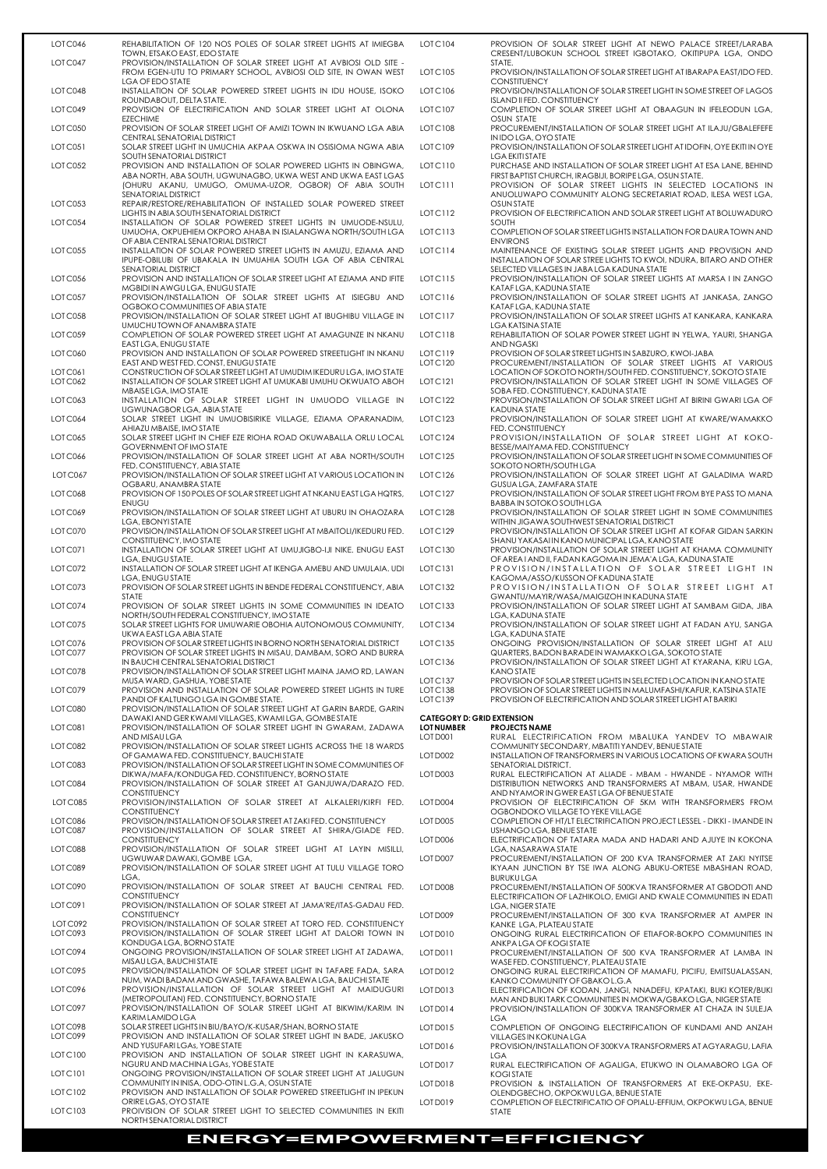| LOTC046            | REHABILITATION OF 120 NOS POLES OF SOLAR STREET LIGHTS AT IMIEGBA<br>TOWN, ETSAKO EAST, EDO STATE                                                     | <b>LOTC104</b>                                         | PROVISION OF SOLAR STREET LIGHT AT NEWO PALACE STREET/LARABA<br>CRESENT/LUBOKUN SCHOOL STREET IGBOTAKO, OKITIPUPA LGA, ONDO                                |
|--------------------|-------------------------------------------------------------------------------------------------------------------------------------------------------|--------------------------------------------------------|------------------------------------------------------------------------------------------------------------------------------------------------------------|
| LOTC047            | PROVISION/INSTALLATION OF SOLAR STREET LIGHT AT AVBIOSI OLD SITE -<br>FROM EGEN-UTU TO PRIMARY SCHOOL, AVBIOSI OLD SITE, IN OWAN WEST                 | LOTC105                                                | STATE.<br>PROVISION/INSTALLATION OF SOLAR STREET LIGHT AT IBARAPA EAST/IDO FED.                                                                            |
| LOTC048            | LGA OF EDO STATE<br>INSTALLATION OF SOLAR POWERED STREET LIGHTS IN IDU HOUSE, ISOKO                                                                   | LOTC106                                                | <b>CONSTITUENCY</b><br>PROVISION/INSTALLATION OF SOLAR STREET LIGHT IN SOME STREET OF LAGOS                                                                |
| LOTC049            | ROUNDABOUT, DELTA STATE.<br>PROVISION OF ELECTRIFICATION AND SOLAR STREET LIGHT AT OLONA                                                              | LOTC107                                                | ISLAND II FED. CONSTITUENCY<br>COMPLETION OF SOLAR STREET LIGHT AT OBAAGUN IN IFELEODUN LGA,                                                               |
| LOT C050           | <b>EZECHIME</b><br>PROVISION OF SOLAR STREET LIGHT OF AMIZI TOWN IN IKWUANO LGA ABIA<br>CENTRAL SENATORIAL DISTRICT                                   | LOTC108                                                | OSUN STATE<br>PROCUREMENT/INSTALLATION OF SOLAR STREET LIGHT AT ILAJU/GBALEFEFE<br>IN IDO LGA, OYO STATE                                                   |
| LOT C051           | SOLAR STREET LIGHT IN UMUCHIA AKPAA OSKWA IN OSISIOMA NGWA ABIA<br>SOUTH SENATORIAL DISTRICT                                                          | LOTC109                                                | PROVISION/INSTALLATION OF SOLAR STREET LIGHT AT IDOFIN, OYE EKITI IN OYE<br><b>LGA EKITI STATE</b>                                                         |
| LOTC052            | PROVISION AND INSTALLATION OF SOLAR POWERED LIGHTS IN OBINGWA,<br>ABA NORTH, ABA SOUTH, UGWUNAGBO, UKWA WEST AND UKWA EAST LGAS                       | LOTC110                                                | PURCHASE AND INSTALLATION OF SOLAR STREET LIGHT AT ESA LANE, BEHIND<br>FIRST BAPTIST CHURCH, IRAGBIJI, BORIPELGA, OSUN STATE.                              |
|                    | (OHURU AKANU, UMUGO, OMUMA-UZOR, OGBOR) OF ABIA SOUTH<br>SENATORIAL DISTRICT                                                                          | LOTC111                                                | PROVISION OF SOLAR STREET LIGHTS IN SELECTED LOCATIONS IN<br>ANUOLUWAPO COMMUNITY ALONG SECRETARIAT ROAD, ILESA WEST LGA,                                  |
| LOT C053           | REPAIR/RESTORE/REHABILITATION OF INSTALLED SOLAR POWERED STREET<br>LIGHTS IN ABIA SOUTH SENATORIAL DISTRICT                                           | LOTC112                                                | OSUN STATE<br>PROVISION OF ELECTRIFICATION AND SOLAR STREET LIGHT AT BOLUWADURO                                                                            |
| LOT C054           | INSTALLATION OF SOLAR POWERED STREET LIGHTS IN UMUODE-NSULU,<br>UMUOHA, OKPUEHIEM OKPORO AHABA IN ISIALANGWA NORTH/SOUTH LGA                          | LOTC113                                                | <b>SOUTH</b><br>COMPLETION OF SOLAR STREET LIGHTS INSTALLATION FOR DAURA TOWN AND                                                                          |
| LOTC055            | OF ABIA CENTRAL SENATORIAL DISTRICT<br>INSTALLATION OF SOLAR POWERED STREET LIGHTS IN AMUZU, EZIAMA AND                                               | LOTC114                                                | <b>ENVIRONS</b><br>MAINTENANCE OF EXISTING SOLAR STREET LIGHTS AND PROVISION AND                                                                           |
|                    | IPUPE-OBILUBI OF UBAKALA IN UMUAHIA SOUTH LGA OF ABIA CENTRAL<br>SENATORIAL DISTRICT                                                                  |                                                        | INSTALLATION OF SOLAR STREE LIGHTS TO KWOI, NDURA, BITARO AND OTHER<br>SELECTED VILLAGES IN JABA LGA KADUNA STATE                                          |
| LOTC056            | PROVISION AND INSTALLATION OF SOLAR STREET LIGHT AT EZIAMA AND IFITE<br>MGBIDI IN AWGU LGA, ENUGU STATE                                               | LOTC115                                                | PROVISION/INSTALLATION OF SOLAR STREET LIGHTS AT MARSA I IN ZANGO<br>KATAFLGA, KADUNA STATE                                                                |
| LOTC057            | PROVISION/INSTALLATION OF SOLAR STREET LIGHTS AT ISIEGBU AND<br>OGBOKO COMMUNITIES OF ABIA STATE                                                      | LOTC116                                                | PROVISION/INSTALLATION OF SOLAR STREET LIGHTS AT JANKASA, ZANGO<br>KATAFLGA, KADUNA STATE                                                                  |
| LOT C058           | PROVISION/INSTALLATION OF SOLAR STREET LIGHT AT IBUGHIBU VILLAGE IN<br>UMUCHU TOWN OF ANAMBRA STATE                                                   | LOTC117                                                | PROVISION/INSTALLATION OF SOLAR STREET LIGHTS AT KANKARA, KANKARA<br>LGA KATSINA STATE                                                                     |
| LOT C059           | COMPLETION OF SOLAR POWERED STREET LIGHT AT AMAGUNZE IN NKANU<br>EAST LGA, ENUGU STATE                                                                | LOTC118                                                | REHABILITATION OF SOLAR POWER STREET LIGHT IN YELWA, YAURI, SHANGA<br><b>AND NGASKI</b>                                                                    |
| <b>LOT C060</b>    | PROVISION AND INSTALLATION OF SOLAR POWERED STREETLIGHT IN NKANU                                                                                      | LOTC119                                                | PROVISION OF SOLAR STREET LIGHTS IN SABZURO, KWOI-JABA                                                                                                     |
| LOT C061           | EAST AND WEST FED. CONST, ENUGU STATE<br>CONSTRUCTION OF SOLAR STREET LIGHT AT UMUDIM IKEDURU LGA, IMO STATE                                          | LOTC120                                                | PROCUREMENT/INSTALLATION OF SOLAR STREET LIGHTS AT VARIOUS<br>LOCATION OF SOKOTO NORTH/SOUTH FED. CONSTITUENCY, SOKOTO STATE                               |
| LOTC062            | INSTALLATION OF SOLAR STREET LIGHT AT UMUKABI UMUHU OKWUATO ABOH<br>MBAISE LGA, IMO STATE                                                             | LOTC <sub>121</sub>                                    | PROVISION/INSTALLATION OF SOLAR STREET LIGHT IN SOME VILLAGES OF<br>SOBA FED. CONSTITUENCY, KADUNA STATE                                                   |
| LOTC063            | INSTALLATION OF SOLAR STREET LIGHT IN UMUODO VILLAGE IN<br>UGWUNAGBOR LGA, ABIA STATE                                                                 | LOTC <sub>122</sub>                                    | PROVISION/INSTALLATION OF SOLAR STREET LIGHT AT BIRINI GWARI LGA OF<br><b>KADUNA STATE</b>                                                                 |
| LOTC064            | SOLAR STREET LIGHT IN UMUOBISIRIKE VILLAGE, EZIAMA OPARANADIM,<br>AHIAZU MBAISE, IMO STATE                                                            | LOTC <sub>123</sub>                                    | PROVISION/INSTALLATION OF SOLAR STREET LIGHT AT KWARE/WAMAKKO<br>FED. CONSTITUENCY                                                                         |
| LOT C065           | SOLAR STREET LIGHT IN CHIEF EZE RIOHA ROAD OKUWABALLA ORLU LOCAL<br><b>GOVERNMENT OF IMO STATE</b>                                                    | LOTC124                                                | PROVISION/INSTALLATION OF SOLAR STREET LIGHT AT KOKO-<br>BESSE/MAIYAMA FED. CONSTITUENCY                                                                   |
| LOT C066           | PROVISION/INSTALLATION OF SOLAR STREET LIGHT AT ABA NORTH/SOUTH<br>FED. CONSTITUENCY, ABIA STATE                                                      | LOTC125                                                | PROVISION/INSTALLATION OF SOLAR STREET LIGHT IN SOME COMMUNITIES OF<br>SOKOTO NORTH/SOUTH LGA                                                              |
| LOTC067            | PROVISION/INSTALLATION OF SOLAR STREET LIGHT AT VARIOUS LOCATION IN<br>OGBARU, ANAMBRA STATE                                                          | LOTC126                                                | PROVISION/INSTALLATION OF SOLAR STREET LIGHT AT GALADIMA WARD<br>GUSUA LGA, ZAMFARA STATE                                                                  |
| LOTC068            | PROVISION OF 150 POLES OF SOLAR STREET LIGHT AT NKANU EAST LGA HQTRS,<br><b>ENUGU</b>                                                                 | LOTC127                                                | PROVISION/INSTALLATION OF SOLAR STREET LIGHT FROM BYE PASS TO MANA<br>BABBA IN SOTOKO SOUTH LGA                                                            |
| LOTC069            | PROVISION/INSTALLATION OF SOLAR STREET LIGHT AT UBURU IN OHAOZARA<br>LGA, EBONYI STATE                                                                | LOTC <sub>128</sub>                                    | PROVISION/INSTALLATION OF SOLAR STREET LIGHT IN SOME COMMUNITIES<br>WITHIN JIGAWA SOUTHWEST SENATORIAL DISTRICT                                            |
| LOTC070            | PROVISION/INSTALLATION OF SOLAR STREET LIGHT AT MBAITOLI/IKEDURU FED.<br>CONSTITUENCY, IMO STATE                                                      | LOTC129                                                | PROVISION/INSTALLATION OF SOLAR STREET LIGHT AT KOFAR GIDAN SARKIN<br>SHANU YAKASAI IN KANO MUNICIPAL LGA, KANO STATE                                      |
| LOTC071            | INSTALLATION OF SOLAR STREET LIGHT AT UMUJIGBO-IJI NIKE. ENUGU EAST<br>LGA, ENUGU STATE.                                                              | LOTC130                                                | PROVISION/INSTALLATION OF SOLAR STREET LIGHT AT KHAMA COMMUNITY<br>OF AREA I AND II, FADAN KAGOMA IN JEMA'A LGA, KADUNA STATE                              |
| LOTC072            | INSTALLATION OF SOLAR STREET LIGHT AT IKENGA AMEBU AND UMULAIA. UDI<br>LGA, ENUGU STATE                                                               | LOTC <sub>131</sub>                                    | PROVISION/INSTALLATION OF SOLAR STREET LIGHT IN<br>KAGOMA/ASSO/KUSSON OF KADUNA STATE                                                                      |
| LOTC073            | PROVISION OF SOLAR STREET LIGHTS IN BENDE FEDERAL CONSTITUENCY, ABIA<br><b>STATE</b>                                                                  | LOTC132                                                | PROVISION/INSTALLATION OF SOLAR STREET LIGHT AT<br>GWANTU/MAYIR/WASA/MAIGIZOH IN KADUNA STATE                                                              |
| LOTC074<br>LOTC075 | PROVISION OF SOLAR STREET LIGHTS IN SOME COMMUNITIES IN IDEATO<br>NORTH/SOUTH FEDERAL CONSTITUENCY, IMO STATE                                         | LOTC133<br>LOTC134                                     | PROVISION/INSTALLATION OF SOLAR STREET LIGHT AT SAMBAM GIDA, JIBA<br>LGA, KADUNA STATE<br>PROVISION/INSTALLATION OF SOLAR STREET LIGHT AT FADAN AYU, SANGA |
|                    | SOLAR STREET LIGHTS FOR UMUWARIE OBOHIA AUTONOMOUS COMMUNITY,<br>UKWA EAST LGA ABIA STATE                                                             |                                                        | LGA, KADUNA STATE                                                                                                                                          |
| LOTC076<br>LOTC077 | PROVISION OF SOLAR STREET LIGHTS IN BORNO NORTH SENATORIAL DISTRICT<br>PROVISION OF SOLAR STREET LIGHTS IN MISAU, DAMBAM, SORO AND BURRA              | LOTC135                                                | ONGOING PROVISION/INSTALLATION OF SOLAR STREET LIGHT AT ALU<br>QUARTERS, BADON BARADE IN WAMAKKOLGA, SOKOTO STATE                                          |
| LOTC078            | IN BAUCHI CENTRAL SENATORIAL DISTRICT<br>PROVISION/INSTALLATION OF SOLAR STREET LIGHT MAINA JAMO RD, LAWAN                                            | LOTC136                                                | PROVISION/INSTALLATION OF SOLAR STREET LIGHT AT KYARANA, KIRU LGA,<br><b>KANO STATE</b>                                                                    |
| LOTC079            | MUSA WARD, GASHUA, YOBE STATE<br>PROVISION AND INSTALLATION OF SOLAR POWERED STREET LIGHTS IN TURE                                                    | LOTC137<br>LOTC <sub>138</sub>                         | PROVISION OF SOLAR STREET LIGHTS IN SELECTED LOCATION IN KANO STATE<br>PROVISION OF SOLAR STREET LIGHTS IN MALUMFASHI/KAFUR, KATSINA STATE                 |
| LOTC080            | PANDI OF KALTUNGO LGA IN GOMBESTATE.<br>PROVISION/INSTALLATION OF SOLAR STREET LIGHT AT GARIN BARDE, GARIN                                            | LOTC139                                                | PROVISION OF ELECTRIFICATION AND SOLAR STREET LIGHT AT BARIKI                                                                                              |
| LOTC081            | DAWAKI AND GER KWAMI VILLAGES, KWAMI LGA, GOMBE STATE<br>PROVISION/INSTALLATION OF SOLAR STREET LIGHT IN GWARAM, ZADAWA                               | <b>CATEGORY D: GRID EXTENSION</b><br><b>LOT NUMBER</b> | <b>PROJECTS NAME</b>                                                                                                                                       |
| LOTC082            | AND MISAU LGA<br>PROVISION/INSTALLATION OF SOLAR STREET LIGHTS ACROSS THE 18 WARDS                                                                    | LOT D001                                               | RURAL ELECTRIFICATION FROM MBALUKA YANDEV TO MBAWAIR<br>COMMUNITY SECONDARY, MBATITI YANDEV, BENUE STATE                                                   |
| LOTC083            | OF GAMAWA FED. CONSTITUENCY, BAUCHI STATE<br>PROVISION/INSTALLATION OF SOLAR STREET LIGHT IN SOME COMMUNITIES OF                                      | LOT D002                                               | INSTALLATION OF TRANSFORMERS IN VARIOUS LOCATIONS OF KWARA SOUTH<br>SENATORIAL DISTRICT.                                                                   |
| LOTC084            | DIKWA/MAFA/KONDUGA FED. CONSTITUENCY, BORNO STATE<br>PROVISION/INSTALLATION OF SOLAR STREET AT GANJUWA/DARAZO FED.                                    | LOT D003                                               | RURAL ELECTRIFICATION AT ALIADE - MBAM - HWANDE - NYAMOR WITH<br>DISTRIBUTION NETWORKS AND TRANSFORMERS AT MBAM, USAR, HWANDE                              |
| LOTC085            | <b>CONSTITUENCY</b><br>PROVISION/INSTALLATION OF SOLAR STREET AT ALKALERI/KIRFI FED.                                                                  | LOT D004                                               | AND NYAMOR IN GWER EAST LGA OF BENUE STATE<br>PROVISION OF ELECTRIFICATION OF 5KM WITH TRANSFORMERS FROM                                                   |
| LOTC086<br>LOTC087 | <b>CONSTITUENCY</b><br>PROVISION/INSTALLATION OF SOLAR STREET AT ZAKI FED. CONSTITUENCY<br>PROVISION/INSTALLATION OF SOLAR STREET AT SHIRA/GIADE FED. | LOT D005                                               | OGBONDOKO VILLAGETO YEKE VILLAGE<br>COMPLETION OF HT/LT ELECTRIFICATION PROJECT LESSEL - DIKKI - IMANDE IN<br>USHANGO LGA, BENUE STATE                     |
| LOTC088            | <b>CONSTITUENCY</b><br>PROVISION/INSTALLATION OF SOLAR STREET LIGHT AT LAYIN MISILLI.                                                                 | LOT D006                                               | ELECTRIFICATION OF TATARA MADA AND HADARI AND AJUYE IN KOKONA<br>LGA, NASARAWA STATE                                                                       |
| LOT C089           | UGWUWAR DAWAKI, GOMBE LGA,<br>PROVISION/INSTALLATION OF SOLAR STREET LIGHT AT TULU VILLAGE TORO                                                       | LOT D007                                               | PROCUREMENT/INSTALLATION OF 200 KVA TRANSFORMER AT ZAKI NYITSE<br>IKYAAN JUNCTION BY TSE IWA ALONG ABUKU-ORTESE MBASHIAN ROAD,                             |
|                    | LGA,                                                                                                                                                  |                                                        | <b>BURUKULGA</b>                                                                                                                                           |

| LOTC090             | PROVISION/INSTALLATION OF SOLAR STREET AT BAUCHI CENTRAL FED.     | LOT D008 | PROCUREMENT/INSTALLATION OF 500KVA TRANSFORMER AT GBODOTI AND      |
|---------------------|-------------------------------------------------------------------|----------|--------------------------------------------------------------------|
|                     | <b>CONSTITUENCY</b>                                               |          | ELECTRIFICATION OF LAZHIKOLO, EMIGI AND KWALE COMMUNITIES IN EDATI |
| LOTC091             | PROVISION/INSTALLATION OF SOLAR STREET AT JAMA'RE/ITAS-GADAU FED. |          | LGA, NIGER STATE                                                   |
|                     | <b>CONSTITUENCY</b>                                               | LOT D009 | PROCUREMENT/INSTALLATION OF 300 KVA TRANSFORMER AT AMPER IN        |
| LOTC092             | PROVISION/INSTALLATION OF SOLAR STREET AT TORO FED. CONSTITUENCY  |          | KANKE LGA, PLATEAU STATE                                           |
| LOTC093             | PROVISION/INSTALLATION OF SOLAR STREET LIGHT AT DALORI TOWN IN    | LOT D010 | ONGOING RURAL ELECTRIFICATION OF ETIAFOR-BOKPO COMMUNITIES IN      |
|                     | KONDUGA LGA, BORNO STATE                                          |          | ANKPA LGA OF KOGISTATE                                             |
| LOTC094             | ONGOING PROVISION/INSTALLATION OF SOLAR STREET LIGHT AT ZADAWA.   | LOT D011 | PROCUREMENT/INSTALLATION OF 500 KVA TRANSFORMER AT LAMBA IN        |
|                     | MISAU LGA, BAUCHI STATE                                           |          | WASE FED. CONSTITUENCY, PLATEAU STATE                              |
| LOTC095             | PROVISION/INSTALLATION OF SOLAR STREET LIGHT IN TAFARE FADA, SARA | LOT D012 | ONGOING RURAL ELECTRIFICATION OF MAMAFU, PICIFU, EMITSUALASSAN,    |
|                     | NUM, WADI BADAM AND GWASHE, TAFAWA BALEWA LGA, BAUCHI STATE       |          | KANKO COMMUNITY OF GBAKO L.G.A                                     |
| LOTC096             | PROVISION/INSTALLATION OF SOLAR STREET LIGHT AT MAIDUGURI         | LOTD013  | ELECTRIFICATION OF KODAN, JANGI, NNADEFU, KPATAKI, BUKI KOTER/BUKI |
|                     | (METROPOLITAN) FED. CONSTITUENCY, BORNO STATE                     |          | MAN AND BUKITARK COMMUNITIES IN MOKWA/GBAKO LGA, NIGER STATE       |
| LOTC097             | PROVISION/INSTALLATION OF SOLAR STREET LIGHT AT BIKWIM/KARIM IN   | LOTD014  | PROVISION/INSTALLATION OF 300KVA TRANSFORMER AT CHAZA IN SULEJA    |
|                     | KARIM LAMIDO LGA                                                  |          | LGA.                                                               |
| LOTC098             | SOLAR STREET LIGHTS IN BIU/BAYO/K-KUSAR/SHAN, BORNO STATE         | LOT D015 | COMPLETION OF ONGOING ELECTRIFICATION OF KUNDAMI AND ANZAH         |
| LOTC099             | PROVISION AND INSTALLATION OF SOLAR STREET LIGHT IN BADE, JAKUSKO |          | VILLAGES IN KOKUNA LGA                                             |
|                     | AND YUSUFARILGAS, YOBE STATE                                      | LOTD016  | PROVISION/INSTALLATION OF 300KVA TRANSFORMERS AT AGYARAGU, LAFIA   |
| LOTC100             | PROVISION AND INSTALLATION OF SOLAR STREET LIGHT IN KARASUWA,     |          | <b>LGA</b>                                                         |
|                     | NGURU AND MACHINA LGAS, YOBE STATE                                | LOT D017 | RURAL ELECTRIFICATION OF AGALIGA, ETUKWO IN OLAMABORO LGA OF       |
| LOTC <sub>101</sub> | ONGOING PROVISION/INSTALLATION OF SOLAR STREET LIGHT AT JALUGUN   |          | <b>KOGISTATE</b>                                                   |
|                     | COMMUNITY IN INISA, ODO-OTIN L.G.A, OSUN STATE                    | LOT D018 | PROVISION & INSTALLATION OF TRANSFORMERS AT EKE-OKPASU, EKE-       |
| LOTC102             | PROVISION AND INSTALLATION OF SOLAR POWERED STREETLIGHT IN IPEKUN |          | OLENDGBECHO, OKPOKWULGA, BENUE STATE                               |
|                     | ORIRE LGAS, OYO STATE                                             | LOT D019 | COMPLETION OF ELECTRIFICATIO OF OPIALU-EFFIUM, OKPOKWU LGA, BENUE  |
| LOTC <sub>103</sub> | PROIVISION OF SOLAR STREET LIGHT TO SELECTED COMMUNITIES IN EKITI |          | <b>STATE</b>                                                       |

NORTH SENATORIAL DISTRICT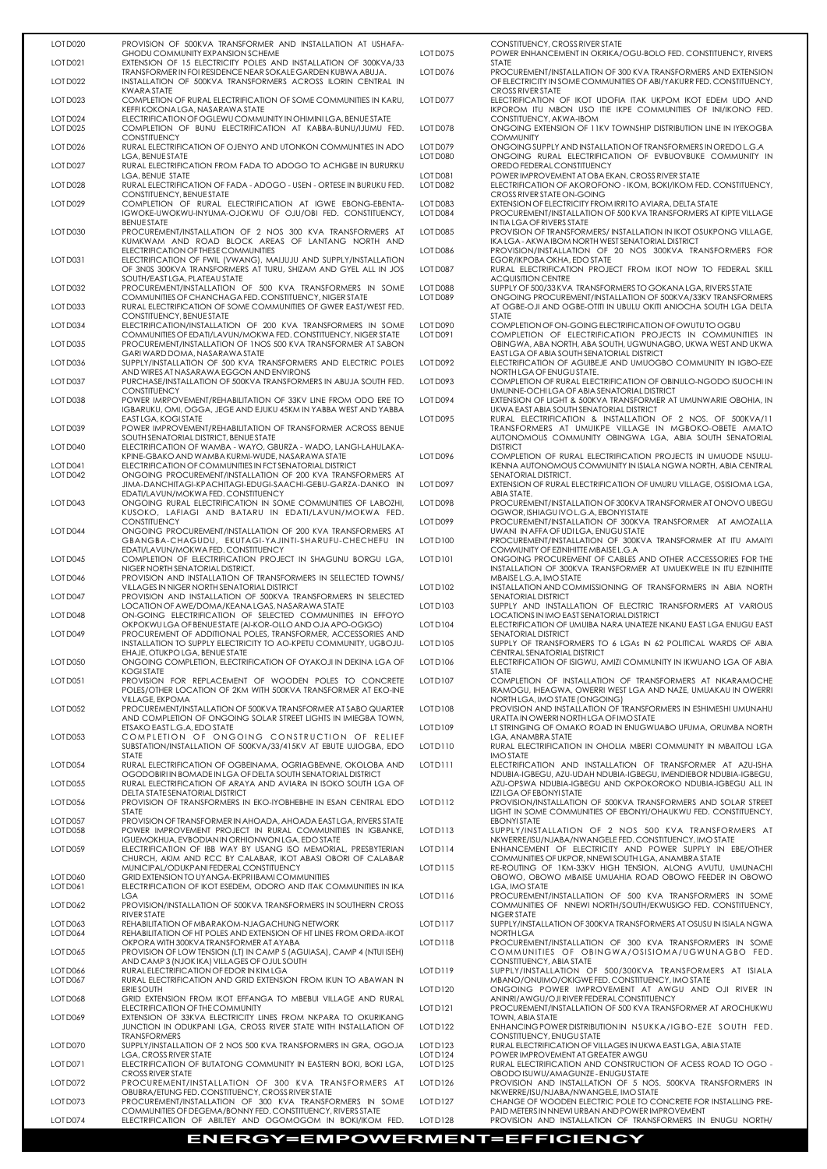| LOT D020             | PROVISION OF 500KVA TRANSFORMER AND INSTALLATION AT USHAFA-<br><b>GHODU COMMUNITY EXPANSION SCHEME</b>                                                                    | LOT D075             | CONSTITUENCY, CROSS RIVER STATE<br>POWER ENHANCEMENT IN OKRIKA/OGU-BOLO FED. CONSTITUENCY, RIVERS                                                                                         |
|----------------------|---------------------------------------------------------------------------------------------------------------------------------------------------------------------------|----------------------|-------------------------------------------------------------------------------------------------------------------------------------------------------------------------------------------|
| LOT D021             | EXTENSION OF 15 ELECTRICITY POLES AND INSTALLATION OF 300KVA/33<br>TRANSFORMER IN FOI RESIDENCE NEAR SOKALE GARDEN KUBWA ABUJA.                                           | LOT D076             | <b>STATE</b><br>PROCUREMENT/INSTALLATION OF 300 KVA TRANSFORMERS AND EXTENSION                                                                                                            |
| LOT D022             | INSTALLATION OF 500KVA TRANSFORMERS ACROSS ILORIN CENTRAL IN<br>KWARA STATE                                                                                               |                      | OF ELECTRICITY IN SOME COMMUNITIES OF ABI/YAKURR FED. CONSTITUENCY,<br><b>CROSS RIVER STATE</b>                                                                                           |
| LOT D023             | COMPLETION OF RURAL ELECTRIFICATION OF SOME COMMUNITIES IN KARU,<br>KEFFI KOKONA LGA, NASARAWA STATE                                                                      | LOT D077             | ELECTRIFICATION OF IKOT UDOFIA ITAK UKPOM IKOT EDEM UDO AND<br>IKPOROM ITU MBON USO ITIE IKPE COMMUNITIES OF INI/IKONO FED.                                                               |
| LOT D024<br>LOT D025 | ELECTRIFICATION OF OGLEWU COMMUNITY IN OHIMINI LGA, BENUE STATE<br>COMPLETION OF BUNU ELECTRIFICATION AT KABBA-BUNU/IJUMU FED.                                            | LOT D078             | CONSTITUENCY, AKWA-IBOM<br>ONGOING EXTENSION OF 11KV TOWNSHIP DISTRIBUTION LINE IN IYEKOGBA                                                                                               |
| LOT D026             | <b>CONSTITUENCY</b><br>RURAL ELECTRIFICATION OF OJENYO AND UTONKON COMMUNITIES IN ADO                                                                                     | LOT D079             | <b>COMMUNITY</b><br>ONGOING SUPPLY AND INSTALLATION OF TRANSFORMERS IN OREDO L.G.A                                                                                                        |
| LOT D027             | LGA, BENUE STATE<br>RURAL ELECTRIFICATION FROM FADA TO ADOGO TO ACHIGBE IN BURURKU                                                                                        | LOT D080             | ONGOING RURAL ELECTRIFICATION OF EVBUOVBUKE COMMUNITY IN<br>OREDO FEDERAL CONSTITUENCY                                                                                                    |
| LOT D028             | LGA, BENUE STATE<br>RURAL ELECTRIFICATION OF FADA - ADOGO - USEN - ORTESE IN BURUKU FED.                                                                                  | LOT D081<br>LOT D082 | POWER IMPROVEMENT AT OBA EKAN, CROSS RIVER STATE<br>ELECTRIFICATION OF AKOROFONO - IKOM, BOKI/IKOM FED. CONSTITUENCY,                                                                     |
| LOT D029             | CONSTITUENCY, BENUE STATE<br>COMPLETION OF RURAL ELECTRIFICATION AT IGWE EBONG-EBENTA-<br>IGWOKE-UWOKWU-INYUMA-OJOKWU OF OJU/OBI FED. CONSTITUENCY,<br><b>BENUE STATE</b> | LOT D083<br>LOT D084 | CROSS RIVER STATE ON-GOING<br>EXTENSION OF ELECTRICITY FROM IRRITO AVIARA, DELTA STATE<br>PROCUREMENT/INSTALLATION OF 500 KVA TRANSFORMERS AT KIPTE VILLAGE<br>IN TIA LGA OF RIVERS STATE |
| LOT D030             | PROCUREMENT/INSTALLATION OF 2 NOS 300 KVA TRANSFORMERS AT<br>KUMKWAM AND ROAD BLOCK AREAS OF LANTANG NORTH AND                                                            | LOT D085             | PROVISION OF TRANSFORMERS/INSTALLATION IN IKOT OSUKPONG VILLAGE,<br>IKA LGA - AKWA IBOM NORTH WEST SENATORIAL DISTRICT                                                                    |
| LOT D031             | ELECTRIFICATION OF THESE COMMUNITIES<br>ELECTRIFICATION OF FWIL (VWANG), MAIJUJU AND SUPPLY/INSTALLATION                                                                  | LOT D086             | PROVISION/INSTALLATION OF 20 NOS 300KVA TRANSFORMERS FOR<br>EGOR/IKPOBA OKHA, EDO STATE                                                                                                   |
|                      | OF 3N0S 300KVA TRANSFORMERS AT TURU, SHIZAM AND GYEL ALL IN JOS<br>SOUTH/EASTLGA, PLATEAU STATE                                                                           | LOT D087             | RURAL ELECTRIFICATION PROJECT FROM IKOT NOW TO FEDERAL SKILL<br><b>ACQUISITION CENTRE</b>                                                                                                 |
| LOT D032             | PROCUREMENT/INSTALLATION OF 500 KVA TRANSFORMERS IN SOME<br>COMMUNITIES OF CHANCHAGA FED. CONSTITUENCY, NIGER STATE                                                       | LOT D088<br>LOT D089 | SUPPLY OF 500/33 KVA TRANSFORMERS TO GOKANA LGA, RIVERS STATE<br>ONGOING PROCUREMENT/INSTALLATION OF 500KVA/33KV TRANSFORMERS                                                             |
| LOT D033             | RURAL ELECTRIFICATION OF SOME COMMUNITIES OF GWER EAST/WEST FED.<br>CONSTITUENCY, BENUE STATE                                                                             |                      | AT OGBE-OJI AND OGBE-OTITI IN UBULU OKITI ANIOCHA SOUTH LGA DELTA<br><b>STATE</b>                                                                                                         |
| LOT D034             | ELECTRIFICATION/INSTALLATION OF 200 KVA TRANSFORMERS IN SOME<br>COMMUNITIES OF EDATI/LAVUN/MOKWA FED. CONSTITUENCY, NIGER STATE                                           | LOT D090<br>LOT D091 | COMPLETION OF ON-GOING ELECTRIFICATION OF OWUTU TO OGBU<br>COMPLETION OF ELECTRIFICATION PROJECTS IN COMMUNITIES IN                                                                       |
| LOT D035             | PROCUREMENT/INSTALLATION OF 1NOS 500 KVA TRANSFORMER AT SABON<br>GARI WARD DOMA, NASARAWA STATE                                                                           |                      | OBINGWA, ABA NORTH, ABA SOUTH, UGWUNAGBO, UKWA WEST AND UKWA<br>EAST LGA OF ABIA SOUTH SENATORIAL DISTRICT                                                                                |
| LOT D036             | SUPPLY/INSTALLATION OF 500 KVA TRANSFORMERS AND ELECTRIC POLES<br>AND WIRES AT NASARAWA EGGON AND ENVIRONS                                                                | LOT D092             | ELECTRIFICATION OF AGUIBEJE AND UMUOGBO COMMUNITY IN IGBO-EZE<br>NORTH LGA OF ENUGUSTATE.                                                                                                 |
| LOT D037             | PURCHASE/INSTALLATION OF 500KVA TRANSFORMERS IN ABUJA SOUTH FED.<br><b>CONSTITUENCY</b>                                                                                   | LOT D093             | COMPLETION OF RURAL ELECTRIFICATION OF OBINULO-NGODO ISUOCHI IN<br>UMUNNE-OCHILGA OF ABIA SENATORIAL DISTRICT                                                                             |
| LOT D038             | POWER IMRPOVEMENT/REHABILITATION OF 33KV LINE FROM ODO ERE TO<br>IGBARUKU, OMI, OGGA, JEGE AND EJUKU 45KM IN YABBA WEST AND YABBA                                         | LOT D094             | EXTENSION OF LIGHT & 500KVA TRANSFORMER AT UMUNWARIE OBOHIA, IN<br>UKWA EAST ABIA SOUTH SENATORIAL DISTRICT                                                                               |
| LOT D039             | EAST LGA, KOGISTATE<br>POWER IMPROVEMENT/REHABILITATION OF TRANSFORMER ACROSS BENUE                                                                                       | LOT D095             | RURAL ELECTRIFICATION & INSTALLATION OF 2 NOS. OF 500KVA/11<br>TRANSFORMERS AT UMUIKPE VILLAGE IN MGBOKO-OBETE AMATO                                                                      |
| LOT D040             | SOUTH SENATORIAL DISTRICT, BENUE STATE<br>ELECTRIFICATION OF WAMBA - WAYO, GBURZA - WADO, LANGI-LAHULAKA-                                                                 |                      | AUTONOMOUS COMMUNITY OBINGWA LGA, ABIA SOUTH SENATORIAL<br><b>DISTRICT</b><br>COMPLETION OF RURAL ELECTRIFICATION PROJECTS IN UMUODE NSULU-                                               |
| LOT D041             | KPINE-GBAKO AND WAMBA KURMI-WUDE, NASARAWA STATE<br>ELECTRIFICATION OF COMMUNITIES IN FCT SENATORIAL DISTRICT                                                             | LOT D096             | IKENNA AUTONOMOUS COMMUNITY IN ISIALA NGWA NORTH, ABIA CENTRAL                                                                                                                            |
| LOT D042             | ONGOING PROCUREMENT/INSTALLATION OF 200 KVA TRANSFORMERS AT<br>JIMA-DANCHITAGI-KPACHITAGI-EDUGI-SAACHI-GEBU-GARZA-DANKO IN<br>EDATI/LAVUN/MOKWA FED. CONSTITUENCY         | LOT D097             | SENATORIAL DISTRICT.<br>EXTENSION OF RURAL ELECTRIFICATION OF UMURU VILLAGE, OSISIOMA LGA,<br>ABIA STATE.                                                                                 |
| LOT D043             | ONGOING RURAL ELECTRIFICATION IN SOME COMMUNITIES OF LABOZHI,<br>KUSOKO, LAFIAGI AND BATARU IN EDATI/LAVUN/MOKWA FED.                                                     | LOTD098              | PROCUREMENT/INSTALLATION OF 300KVA TRANSFORMER AT ONOVO UBEGU<br>OGWOR, ISHIAGU IVOL.G.A, EBONYI STATE                                                                                    |
| LOT D044             | <b>CONSTITUENCY</b><br>ONGOING PROCUREMENT/INSTALLATION OF 200 KVA TRANSFORMERS AT                                                                                        | LOT D099             | PROCUREMENT/INSTALLATION OF 300KVA TRANSFORMER AT AMOZALLA<br>UWANI IN AFFA OF UDILGA, ENUGU STATE                                                                                        |
|                      | GBANGBA-CHAGUDU, EKUTAGI-YAJINTI-SHARUFU-CHECHEFU IN<br>EDATI/LAVUN/MOKWA FED. CONSTITUENCY                                                                               | LOT D <sub>100</sub> | PROCUREMENT/INSTALLATION OF 300KVA TRANSFORMER AT ITU AMAIYI<br>COMMUNITY OF EZINIHITTE MBAISE L.G.A                                                                                      |
| LOT D045             | COMPLETION OF ELECTRIFICATION PROJECT IN SHAGUNU BORGU LGA,<br>NIGER NORTH SENATORIAL DISTRICT.                                                                           | LOTD <sub>101</sub>  | ONGOING PROCUREMENT OF CABLES AND OTHER ACCESSORIES FOR THE<br>INSTALLATION OF 300KVA TRANSFORMER AT UMUEKWELE IN ITU EZINIHITTE                                                          |
| LOT D046             | PROVISION AND INSTALLATION OF TRANSFORMERS IN SELLECTED TOWNS/<br>VILLAGES IN NIGER NORTH SENATORIAL DISTRICT                                                             | <b>LOT D102</b>      | MBAISE L.G.A. IMO STATE<br>INSTALLATION AND COMMISSIONING OF TRANSFORMERS IN ABIA NORTH                                                                                                   |
| LOT D047             | PROVISION AND INSTALLATION OF 500KVA TRANSFORMERS IN SELECTED<br>LOCATION OF AWE/DOMA/KEANA LGAS, NASARAWA STATE                                                          | LOTD103              | SENATORIAL DISTRICT<br>SUPPLY AND INSTALLATION OF ELECTRIC TRANSFORMERS AT VARIOUS                                                                                                        |
| LOT D048             | ON-GOING ELECTRIFICATION OF SELECTED COMMUNITIES IN EFFOYO<br>OKPOKWU LGA OF BENUE STATE (AI-KOR-OLLO AND OJA APO-OGIGO)                                                  | LOT D <sub>104</sub> | LOCATIONS IN IMO EAST SENATORIAL DISTRICT<br>ELECTRIFICATION OF UMUIBA NARA UNATEZE NKANU EAST LGA ENUGU EAST                                                                             |
| LOT D049             | PROCUREMENT OF ADDITIONAL POLES, TRANSFORMER, ACCESSORIES AND<br>INSTALLATION TO SUPPLY ELECTRICITY TO AO-KPETU COMMUNITY, UGBOJU-                                        | LOT D <sub>105</sub> | SENATORIAL DISTRICT<br>SUPPLY OF TRANSFORMERS TO 6 LGAs IN 62 POLITICAL WARDS OF ABIA                                                                                                     |
| LOT D050             | EHAJE, OTUKPO LGA, BENUE STATE<br>ONGOING COMPLETION, ELECTRIFICATION OF OYAKOJI IN DEKINA LGA OF                                                                         | LOT D <sub>106</sub> | CENTRAL SENATORIAL DISTRICT<br>ELECTRIFICATION OF ISIGWU, AMIZI COMMUNITY IN IKWUANO LGA OF ABIA                                                                                          |
| LOT D051             | <b>KOGISTATE</b><br>PROVISION FOR REPLACEMENT OF WOODEN POLES TO CONCRETE<br>POLES/OTHER LOCATION OF 2KM WITH 500KVA TRANSFORMER AT EKO-INE                               | LOT D <sub>107</sub> | <b>STATE</b><br>COMPLETION OF INSTALLATION OF TRANSFORMERS AT NKARAMOCHE<br>IRAMOGU, IHEAGWA, OWERRI WEST LGA AND NAZE, UMUAKAU IN OWERRI                                                 |
| LOT D052             | <b>VILLAGE, EKPOMA</b><br>PROCUREMENT/INSTALLATION OF 500KVA TRANSFORMER AT SABO QUARTER                                                                                  | LOTD108              | NORTH LGA, IMO STATE (ONGOING)<br>PROVISION AND INSTALLATION OF TRANSFORMERS IN ESHIMESHI UMUNAHU                                                                                         |
|                      | AND COMPLETION OF ONGOING SOLAR STREET LIGHTS IN IMIEGBA TOWN,<br>ETSAKO EAST L.G.A, EDO STATE<br>COMPLETION OF ONGOING CONSTRUCTION OF RELIEF                            | LOT D109             | URATTA IN OWERRI NORTH LGA OF IMO STATE<br>LT STRINGING OF OMAKO ROAD IN ENUGWUABO UFUMA, ORUMBA NORTH<br>LGA, ANAMBRA STATE                                                              |
| LOTD053              | SUBSTATION/INSTALLATION OF 500KVA/33/415KV AT EBUTE UJIOGBA, EDO<br><b>STATE</b>                                                                                          | LOTD110              | RURAL ELECTRIFICATION IN OHOLIA MBERI COMMUNITY IN MBAITOLI LGA<br><b>IMO STATE</b>                                                                                                       |
| LOT D054             | RURAL ELECTRIFICATION OF OGBEINAMA, OGRIAGBEMNE, OKOLOBA AND<br>OGODOBIRI IN BOMADE IN LGA OF DELTA SOUTH SENATORIAL DISTRICT                                             | LOTD111              | ELECTRIFICATION AND INSTALLATION OF TRANSFORMER AT AZU-ISHA<br>NDUBIA-IGBEGU, AZU-UDAH NDUBIA-IGBEGU, IMENDIEBOR NDUBIA-IGBEGU,                                                           |
| LOT D055             | RURAL ELECTRIFICATION OF ARAYA AND AVIARA IN ISOKO SOUTH LGA OF<br>DELTA STATE SENATORIAL DISTRICT                                                                        |                      | AZU-OPSWA NDUBIA-IGBEGU AND OKPOKOROKO NDUBIA-IGBEGU ALL IN<br>IZZI LGA OF EBONYI STATE                                                                                                   |
| LOT D056             | PROVISION OF TRANSFORMERS IN EKO-IYOBHEBHE IN ESAN CENTRAL EDO<br><b>STATE</b>                                                                                            | LOTD112              | PROVISION/INSTALLATION OF 500KVA TRANSFORMERS AND SOLAR STREET<br>LIGHT IN SOME COMMUNITIES OF EBONYI/OHAUKWU FED. CONSTITUENCY,                                                          |
| LOT D057<br>LOT D058 | PROVISION OF TRANSFORMER IN AHOADA, AHOADA EAST LGA, RIVERS STATE<br>POWER IMPROVEMENT PROJECT IN RURAL COMMUNITIES IN IGBANKE,                                           | LOTD113              | <b>EBONYISTATE</b><br>SUPPLY/INSTALLATION OF 2 NOS 500 KVA TRANSFORMERS AT                                                                                                                |
| LOT D059             | IGUEMOKHUA, EVBODIAN IN ORHIONWON LGA, EDO STATE<br>ELECTRIFICATION OF IBB WAY BY USANG ISO MEMORIAL, PRESBYTERIAN                                                        | LOTD114              | NKWERRE/ISU/NJABA/NWANGELE FED. CONSTITUENCY, IMO STATE<br>ENHANCEMENT OF ELECTRICITY AND POWER SUPPLY IN EBE/OTHER                                                                       |
|                      | CHURCH, AKIM AND RCC BY CALABAR, IKOT ABASI OBORI OF CALABAR<br>MUNICIPAL/ODUKPANI FEDERAL CONSTITUENCY                                                                   | LOTD115              | COMMUNITIES OF UKPOR, NNEWISOUTH LGA, ANAMBRA STATE<br>RE-ROUTING OF 1KM-33KV HIGH TENSION, ALONG AVUTU, UMUNACHI                                                                         |
| LOT D060             | <b>GRID EXTENSION TO UYANGA-EKPRI IBAMI COMMUNITIES</b>                                                                                                                   |                      | OBOWO, OBOWO MBAISE UMUAHIA ROAD OBOWO FEEDER IN OBOWO                                                                                                                                    |

| LOT D <sub>061</sub> | ELECTRIFICATION OF IKOT ESEDEM, ODORO AND ITAK COMMUNITIES IN IKA     |                      | LGA, IMO STATE                                                     |
|----------------------|-----------------------------------------------------------------------|----------------------|--------------------------------------------------------------------|
|                      | LGA                                                                   | LOTD116              | PROCUREMENT/INSTALLATION OF 500 KVA TRANSFORMERS IN SOME           |
| LOT D062             | PROVISION/INSTALLATION OF 500KVA TRANSFORMERS IN SOUTHERN CROSS       |                      | COMMUNITIES OF NNEWI NORTH/SOUTH/EKWUSIGO FED. CONSTITUENCY.       |
|                      | RIVER STATE                                                           |                      | NIGER STATE                                                        |
| LOT D063             | REHABILITATION OF MBARAKOM-NJAGACHUNG NETWORK                         | LOTD117              | SUPPLY/INSTALLATION OF 300KVA TRANSFORMERS AT OSUSU IN ISIALA NGWA |
| LOT D064             | REHABILITATION OF HT POLES AND EXTENSION OF HT LINES FROM ORIDA-IKOT  |                      | <b>NORTH LGA</b>                                                   |
|                      | OKPORA WITH 300KVA TRANSFORMER AT AYABA                               | LOTD118              | PROCUREMENT/INSTALLATION OF 300 KVA TRANSFORMERS IN SOME           |
| LOT D065             | PROVISION OF LOW TENSION (LT) IN CAMP 5 (AGUIASA), CAMP 4 (NTUI ISEH) |                      | COMMUNITIES OF OBINGWA/OSISIOMA/UGWUNAGBO FED.                     |
|                      | AND CAMP 3 (NJOK IKA) VILLAGES OF OJUL SOUTH                          |                      | CONSTITUENCY, ABIA STATE                                           |
| LOT D066             | RURAL ELECTRIFICATION OF EDOR IN KIM LGA                              | LOTD119              | SUPPLY/INSTALLATION OF 500/300KVA TRANSFORMERS AT ISIALA           |
| LOT D067             | RURAL ELECTRIFICATION AND GRID EXTENSION FROM IKUN TO ABAWAN IN       |                      | MBANO/ONUIMO/OKIGWE FED. CONSTITUENCY, IMO STATE                   |
|                      | <b>ERIE SOUTH</b>                                                     | LOT D <sub>120</sub> | ONGOING POWER IMPROVEMENT AT AWGU AND OJI RIVER IN                 |
| LOT D068             | GRID EXTENSION FROM IKOT EFFANGA TO MBEBUI VILLAGE AND RURAL          |                      | ANINRI/AWGU/OJI RIVER FEDERAL CONSTITUENCY                         |
|                      | ELECTRIFICATION OF THE COMMUNITY                                      | LOTD <sub>121</sub>  | PROCUREMENT/INSTALLATION OF 500 KVA TRANSFORMER AT AROCHUKWU       |
| LOT D069             | EXTENSION OF 33KVA ELECTRICITY LINES FROM NKPARA TO OKURIKANG         |                      | TOWN, ABIA STATE                                                   |
|                      | JUNCTION IN ODUKPANI LGA, CROSS RIVER STATE WITH INSTALLATION OF      | LOTD122              | ENHANCING POWER DISTRIBUTION IN NSUKKA/IGBO-EZE SOUTH FED.         |
|                      | <b>TRANSFORMERS</b>                                                   |                      | CONSTITUENCY, ENUGU STATE                                          |
| LOT D070             | SUPPLY/INSTALLATION OF 2 NOS 500 KVA TRANSFORMERS IN GRA, OGOJA       | LOT D123             | RURAL ELECTRIFICATION OF VILLAGES IN UKWA EAST LGA, ABIA STATE     |
|                      | LGA, CROSS RIVER STATE                                                | LOTD124              | POWER IMPROVEMENT AT GREATER AWGU                                  |
| LOT D071             | ELECTRIFICATION OF BUTATONG COMMUNITY IN EASTERN BOKI, BOKI LGA,      | LOT D <sub>125</sub> | RURAL ELECTRIFICATION AND CONSTRUCTION OF ACESS ROAD TO OGO -      |
|                      | CROSS RIVER STATE                                                     |                      | OBODO ISUWU/AMAGUNZE - ENUGU STATE                                 |
| LOT D072             | PROCUREMENT/INSTALLATION OF 300 KVA TRANSFORMERS AT                   | LOTD126              | PROVISION AND INSTALLATION OF 5 NOS. 500KVA TRANSFORMERS IN        |
|                      | OBUBRA/ETUNG FED. CONSTITUENCY, CROSS RIVER STATE                     |                      | NKWERRE/ISU/NJABA/NWANGELE, IMO STATE                              |
| LOT D073             | PROCUREMENT/INSTALLATION OF 300 KVA TRANSFORMERS IN SOME              | LOTD127              | CHANGE OF WOODEN ELECTRIC POLE TO CONCRETE FOR INSTALLING PRE-     |
|                      | COMMUNITIES OF DEGEMA/BONNY FED. CONSTITUENCY, RIVERS STATE           |                      | PAID METERS IN NNEWI URBAN AND POWER IMPROVEMENT                   |
| LOID074              | FLECTRIFICATION OF ABILTEY AND OGOMOGOM IN BOKI/IKOM FED.             | 101D128              | PROVISION AND INSTALLATION OF TRANSFORMERS IN ENLIGU NORTH/        |

| PROVISION OF 500KVA TRANSFORMER AND INSTALLATION AT USHAFA-<br><b>GHODU COMMUNITY EXPANSION SCHEME</b>                              | LOT D075             | CONSTITUENCY, CROSS RIVER STATE<br>POWER ENHANCEMENT IN OKRIKA/OGU-BOLO FED. CONSTITUENCY, RIVERS                                |
|-------------------------------------------------------------------------------------------------------------------------------------|----------------------|----------------------------------------------------------------------------------------------------------------------------------|
| EXTENSION OF 15 ELECTRICITY POLES AND INSTALLATION OF 300KVA/33<br>TRANSFORMER IN FOI RESIDENCE NEAR SOKALE GARDEN KUBWA ABUJA.     | LOT D076             | <b>STATE</b><br>PROCUREMENT/INSTALLATION OF 300 KVA TRANSFORMERS AND EXTENSION                                                   |
| INSTALLATION OF 500KVA TRANSFORMERS ACROSS ILORIN CENTRAL IN                                                                        |                      | OF ELECTRICITY IN SOME COMMUNITIES OF ABI/YAKURR FED. CONSTITUENCY,                                                              |
| KWARA STATE<br>COMPLETION OF RURAL ELECTRIFICATION OF SOME COMMUNITIES IN KARU,                                                     | LOT D077             | <b>CROSS RIVER STATE</b><br>ELECTRIFICATION OF IKOT UDOFIA ITAK UKPOM IKOT EDEM UDO AND                                          |
| KEFFI KOKONA LGA, NASARAWA STATE<br>ELECTRIFICATION OF OGLEWU COMMUNITY IN OHIMINI LGA, BENUE STATE                                 |                      | IKPOROM ITU MBON USO ITIE IKPE COMMUNITIES OF INI/IKONO FED.<br>CONSTITUENCY, AKWA-IBOM                                          |
| COMPLETION OF BUNU ELECTRIFICATION AT KABBA-BUNU/IJUMU FED.                                                                         | LOT D078             | ONGOING EXTENSION OF 11KV TOWNSHIP DISTRIBUTION LINE IN IYEKOGBA                                                                 |
| <b>CONSTITUENCY</b><br>RURAL ELECTRIFICATION OF OJENYO AND UTONKON COMMUNITIES IN ADO                                               | LOT D079             | <b>COMMUNITY</b><br>ONGOING SUPPLY AND INSTALLATION OF TRANSFORMERS IN OREDO L.G.A                                               |
| <b>LGA, BENUE STATE</b><br>RURAL ELECTRIFICATION FROM FADA TO ADOGO TO ACHIGBE IN BURURKU                                           | LOT D080             | ONGOING RURAL ELECTRIFICATION OF EVBUOVBUKE COMMUNITY IN<br>OREDO FEDERAL CONSTITUENCY                                           |
| LGA, BENUE STATE                                                                                                                    | LOT D081             | POWER IMPROVEMENT AT OBA EKAN, CROSS RIVER STATE                                                                                 |
| RURAL ELECTRIFICATION OF FADA - ADOGO - USEN - ORTESE IN BURUKU FED.<br>CONSTITUENCY, BENUE STATE                                   | LOT D082             | ELECTRIFICATION OF AKOROFONO - IKOM, BOKI/IKOM FED. CONSTITUENCY,<br>CROSS RIVER STATE ON-GOING                                  |
| COMPLETION OF RURAL ELECTRIFICATION AT IGWE EBONG-EBENTA-                                                                           | LOT D083             | EXTENSION OF ELECTRICITY FROM IRRITO AVIARA, DELTA STATE                                                                         |
| igwoke-uwokwu-inyuma-ojokwu of Oju/Obi fed. Constituency,<br><b>BENUE STATE</b>                                                     | LOT D084             | PROCUREMENT/INSTALLATION OF 500 KVA TRANSFORMERS AT KIPTE VILLAGE<br>IN TIA LGA OF RIVERS STATE                                  |
| PROCUREMENT/INSTALLATION OF 2 NOS 300 KVA TRANSFORMERS AT<br>KUMKWAM AND ROAD BLOCK AREAS OF LANTANG NORTH AND                      | LOT D085             | PROVISION OF TRANSFORMERS/INSTALLATION IN IKOT OSUKPONG VILLAGE,<br>IKA LGA - AKWA IBOM NORTH WEST SENATORIAL DISTRICT           |
| ELECTRIFICATION OF THESE COMMUNITIES                                                                                                | LOT D086             | PROVISION/INSTALLATION OF 20 NOS 300KVA TRANSFORMERS FOR                                                                         |
| ELECTRIFICATION OF FWIL (VWANG), MAIJUJU AND SUPPLY/INSTALLATION<br>OF 3N0S 300KVA TRANSFORMERS AT TURU, SHIZAM AND GYEL ALL IN JOS | LOT D087             | EGOR/IKPOBA OKHA, EDO STATE<br>RURAL ELECTRIFICATION PROJECT FROM IKOT NOW TO FEDERAL SKILL                                      |
| SOUTH/EAST LGA, PLATEAU STATE<br>PROCUREMENT/INSTALLATION OF 500 KVA TRANSFORMERS IN SOME                                           | LOT D088             | <b>ACQUISITION CENTRE</b><br>SUPPLY OF 500/33 KVA TRANSFORMERS TO GOKANALGA, RIVERS STATE                                        |
| COMMUNITIES OF CHANCHAGA FED. CONSTITUENCY, NIGER STATE                                                                             | LOT D089             | ONGOING PROCUREMENT/INSTALLATION OF 500KVA/33KV TRANSFORMERS                                                                     |
| RURAL ELECTRIFICATION OF SOME COMMUNITIES OF GWER EAST/WEST FED.<br>CONSTITUENCY, BENUE STATE                                       |                      | AT OGBE-OJI AND OGBE-OTITI IN UBULU OKITI ANIOCHA SOUTH LGA DELTA<br><b>STATE</b>                                                |
| ELECTRIFICATION/INSTALLATION OF 200 KVA TRANSFORMERS IN SOME                                                                        | LOT D090<br>LOT D091 | COMPLETION OF ON-GOING ELECTRIFICATION OF OWUTU TO OGBU<br>COMPLETION OF ELECTRIFICATION PROJECTS IN COMMUNITIES IN              |
| COMMUNITIES OF EDATI/LAVUN/MOKWA FED. CONSTITUENCY, NIGER STATE<br>PROCUREMENT/INSTALLATION OF 1NOS 500 KVA TRANSFORMER AT SABON    |                      | OBINGWA, ABA NORTH, ABA SOUTH, UGWUNAGBO, UKWA WEST AND UKWA                                                                     |
| GARI WARD DOMA, NASARAWA STATE<br>Supply/installation of 500 kva transformers and electric poles                                    | LOT D092             | EAST LGA OF ABIA SOUTH SENATORIAL DISTRICT<br>ELECTRIFICATION OF AGUIBEJE AND UMUOGBO COMMUNITY IN IGBO-EZE                      |
| AND WIRES AT NASARAWA EGGON AND ENVIRONS                                                                                            |                      | NORTH LGA OF ENUGU STATE.                                                                                                        |
| PURCHASE/INSTALLATION OF 500KVA TRANSFORMERS IN ABUJA SOUTH FED.<br>CONSTITUENCY                                                    | LOT D093             | COMPLETION OF RURAL ELECTRIFICATION OF OBINULO-NGODO ISUOCHI IN<br>UMUNNE-OCHILGA OF ABIA SENATORIAL DISTRICT                    |
| POWER IMRPOVEMENT/REHABILITATION OF 33KV LINE FROM ODO ERE TO<br>IGBARUKU, OMI, OGGA, JEGE AND EJUKU 45KM IN YABBA WEST AND YABBA   | LOT D094             | EXTENSION OF LIGHT & 500KVA TRANSFORMER AT UMUNWARIE OBOHIA, IN<br>UKWA EAST ABIA SOUTH SENATORIAL DISTRICT                      |
| EAST LGA, KOGI STATE                                                                                                                | LOT D095             | RURAL ELECTRIFICATION & INSTALLATION OF 2 NOS. OF 500KVA/11                                                                      |
| POWER IMPROVEMENT/REHABILITATION OF TRANSFORMER ACROSS BENUE<br>SOUTH SENATORIAL DISTRICT, BENUE STATE                              |                      | TRANSFORMERS AT UMUIKPE VILLAGE IN MGBOKO-OBETE AMATO<br>AUTONOMOUS COMMUNITY OBINGWA LGA, ABIA SOUTH SENATORIAL                 |
| ELECTRIFICATION OF WAMBA - WAYO, GBURZA - WADO, LANGI-LAHULAKA-<br>KPINE-GBAKO AND WAMBA KURMI-WUDE, NASARAWA STATE                 | LOT D096             | <b>DISTRICT</b><br>COMPLETION OF RURAL ELECTRIFICATION PROJECTS IN UMUODE NSULU-                                                 |
| ELECTRIFICATION OF COMMUNITIES IN FCT SENATORIAL DISTRICT                                                                           |                      | IKENNA AUTONOMOUS COMMUNITY IN ISIALA NGWA NORTH, ABIA CENTRAL                                                                   |
| ONGOING PROCUREMENT/INSTALLATION OF 200 KVA TRANSFORMERS AT<br>JIMA-DANCHITAGI-KPACHITAGI-EDUGI-SAACHI-GEBU-GARZA-DANKO IN          | LOT D097             | SENATORIAL DISTRICT.<br>EXTENSION OF RURAL ELECTRIFICATION OF UMURU VILLAGE, OSISIOMA LGA,                                       |
| EDATI/LAVUN/MOKWA FED. CONSTITUENCY<br>ONGOING RURAL ELECTRIFICATION IN SOME COMMUNITIES OF LABOZHI,                                | LOT D098             | ABIA STATE.<br>PROCUREMENT/INSTALLATION OF 300KVA TRANSFORMER AT ONOVO UBEGU                                                     |
| KUSOKO, LAFIAGI AND BATARU IN EDATI/LAVUN/MOKWA FED.                                                                                |                      | OGWOR, ISHIAGU IVO L.G.A, EBONYI STATE                                                                                           |
| CONSTITUENCY<br>ONGOING PROCUREMENT/INSTALLATION OF 200 KVA TRANSFORMERS AT                                                         | LOT D099             | PROCUREMENT/INSTALLATION OF 300KVA TRANSFORMER AT AMOZALLA<br>UWANI IN AFFA OF UDILGA, ENUGU STATE                               |
| GBANGBA-CHAGUDU, EKUTAGI-YAJINTI-SHARUFU-CHECHEFU IN<br>EDATI/LAVUN/MOKWA FED. CONSTITUENCY                                         | LOT D100             | PROCUREMENT/INSTALLATION OF 300KVA TRANSFORMER AT ITU AMAIYI<br>COMMUNITY OF EZINIHITTE MBAISE L.G.A                             |
| COMPLETION OF ELECTRIFICATION PROJECT IN SHAGUNU BORGU LGA,                                                                         | LOT D <sub>101</sub> | ONGOING PROCUREMENT OF CABLES AND OTHER ACCESSORIES FOR THE                                                                      |
| NIGER NORTH SENATORIAL DISTRICT.<br>PROVISION AND INSTALLATION OF TRANSFORMERS IN SELLECTED TOWNS/                                  |                      | INSTALLATION OF 300KVA TRANSFORMER AT UMUEKWELE IN ITU EZINIHITTE<br>MBAISE L.G.A. IMO STATE                                     |
| VILLAGES IN NIGER NORTH SENATORIAL DISTRICT                                                                                         | LOT D102             | INSTALLATION AND COMMISSIONING OF TRANSFORMERS IN ABIA NORTH                                                                     |
| PROVISION AND INSTALLATION OF 500KVA TRANSFORMERS IN SELECTED<br>LOCATION OF AWE/DOMA/KEANA LGAS, NASARAWA STATE                    | LOT D <sub>103</sub> | SENATORIAL DISTRICT<br>SUPPLY AND INSTALLATION OF ELECTRIC TRANSFORMERS AT VARIOUS                                               |
| ON-GOING ELECTRIFICATION OF SELECTED COMMUNITIES IN EFFOYO<br>OKPOKWU LGA OF BENUE STATE (AI-KOR-OLLO AND OJA APO-OGIGO)            | <b>LOTD104</b>       | LOCATIONS IN IMO EAST SENATORIAL DISTRICT<br>ELECTRIFICATION OF UMUIBA NARA UNATEZE NKANU EAST LGA ENUGU EAST                    |
| PROCUREMENT OF ADDITIONAL POLES, TRANSFORMER, ACCESSORIES AND                                                                       |                      | SENATORIAL DISTRICT                                                                                                              |
| INSTALLATION TO SUPPLY ELECTRICITY TO AO-KPETU COMMUNITY, UGBOJU-<br>EHAJE, OTUKPO LGA, BENUE STATE                                 | LOT D <sub>105</sub> | SUPPLY OF TRANSFORMERS TO 6 LGAs IN 62 POLITICAL WARDS OF ABIA<br>CENTRAL SENATORIAL DISTRICT                                    |
| ONGOING COMPLETION, ELECTRIFICATION OF OYAKOJI IN DEKINA LGA OF<br>KOGI STATE                                                       | LOT D <sub>106</sub> | ELECTRIFICATION OF ISIGWU, AMIZI COMMUNITY IN IKWUANO LGA OF ABIA<br><b>STATE</b>                                                |
| PROVISION FOR REPLACEMENT OF WOODEN POLES TO CONCRETE                                                                               | LOT D <sub>107</sub> | COMPLETION OF INSTALLATION OF TRANSFORMERS AT NKARAMOCHE                                                                         |
| POLES/OTHER LOCATION OF 2KM WITH 500KVA TRANSFORMER AT EKO-INE<br>VILLAGE, EKPOMA                                                   |                      | IRAMOGU, IHEAGWA, OWERRI WEST LGA AND NAZE, UMUAKAU IN OWERRI<br>NORTH LGA, IMO STATE (ONGOING)                                  |
| PROCUREMENT/INSTALLATION OF 500KVA TRANSFORMER AT SABO QUARTER<br>AND COMPLETION OF ONGOING SOLAR STREET LIGHTS IN IMIEGBA TOWN,    | LOTD108              | PROVISION AND INSTALLATION OF TRANSFORMERS IN ESHIMESHI UMUNAHU<br>URATTA IN OWERRI NORTH LGA OF IMO STATE                       |
| ETSAKO EAST L.G.A, EDO STATE                                                                                                        | LOT D109             | LT STRINGING OF OMAKO ROAD IN ENUGWUABO UFUMA, ORUMBA NORTH                                                                      |
| COMPLETION OF ONGOING CONSTRUCTION OF RELIEF<br>SUBSTATION/INSTALLATION OF 500KVA/33/415KV AT EBUTE UJIOGBA, EDO                    | LOT D <sub>110</sub> | LGA, ANAMBRA STATE<br>RURAL ELECTRIFICATION IN OHOLIA MBERI COMMUNITY IN MBAITOLI LGA                                            |
| STATE<br>RURAL ELECTRIFICATION OF OGBEINAMA, OGRIAGBEMNE, OKOLOBA AND                                                               | LOTD111              | <b>IMO STATE</b><br>ELECTRIFICATION AND INSTALLATION OF TRANSFORMER AT AZU-ISHA                                                  |
| OGODOBIRI IN BOMADE IN LGA OF DELTA SOUTH SENATORIAL DISTRICT                                                                       |                      | NDUBIA-IGBEGU, AZU-UDAH NDUBIA-IGBEGU, IMENDIEBOR NDUBIA-IGBEGU,                                                                 |
| RURAL ELECTRIFICATION OF ARAYA AND AVIARA IN ISOKO SOUTH LGA OF<br>DELTA STATE SENATORIAL DISTRICT                                  |                      | AZU-OPSWA NDUBIA-IGBEGU AND OKPOKOROKO NDUBIA-IGBEGU ALL IN<br>IZZI LGA OF EBONYI STATE                                          |
| PROVISION OF TRANSFORMERS IN EKO-IYOBHEBHE IN ESAN CENTRAL EDO<br>STATE                                                             | LOTD112              | PROVISION/INSTALLATION OF 500KVA TRANSFORMERS AND SOLAR STREET<br>LIGHT IN SOME COMMUNITIES OF EBONYI/OHAUKWU FED. CONSTITUENCY, |
| PROVISION OF TRANSFORMER IN AHOADA, AHOADA EAST LGA, RIVERS STATE                                                                   |                      | <b>EBONYISTATE</b>                                                                                                               |
| POWER IMPROVEMENT PROJECT IN RURAL COMMUNITIES IN IGBANKE,<br>IGUEMOKHUA, EVBODIAN IN ORHIONWON LGA, EDO STATE                      | LOTD113              | SUPPLY/INSTALLATION OF 2 NOS 500 KVA TRANSFORMERS AT<br>NKWERRE/ISU/NJABA/NWANGELE FED. CONSTITUENCY, IMO STATE                  |
| ELECTRIFICATION OF IBB WAY BY USANG ISO MEMORIAL, PRESBYTERIAN<br>CHURCH, AKIM AND RCC BY CALABAR, IKOT ABASI OBORI OF CALABAR      | LOTD114              | ENHANCEMENT OF ELECTRICITY AND POWER SUPPLY IN EBE/OTHER<br>COMMUNITIES OF UKPOR, NNEWISOUTH LGA, ANAMBRA STATE                  |
| MUNICIPAL/ODUKPANI FEDERAL CONSTITUENCY                                                                                             | LOT D115             | RE-ROUTING OF 1KM-33KV HIGH TENSION, ALONG AVUTU, UMUNACHI                                                                       |
| GRID EXTENSION TO UYANGA-EKPRI IBAMI COMMUNITIES                                                                                    |                      | OBOWO, OBOWO MBAISE UMUAHIA ROAD OBOWO FEEDER IN OBOWO                                                                           |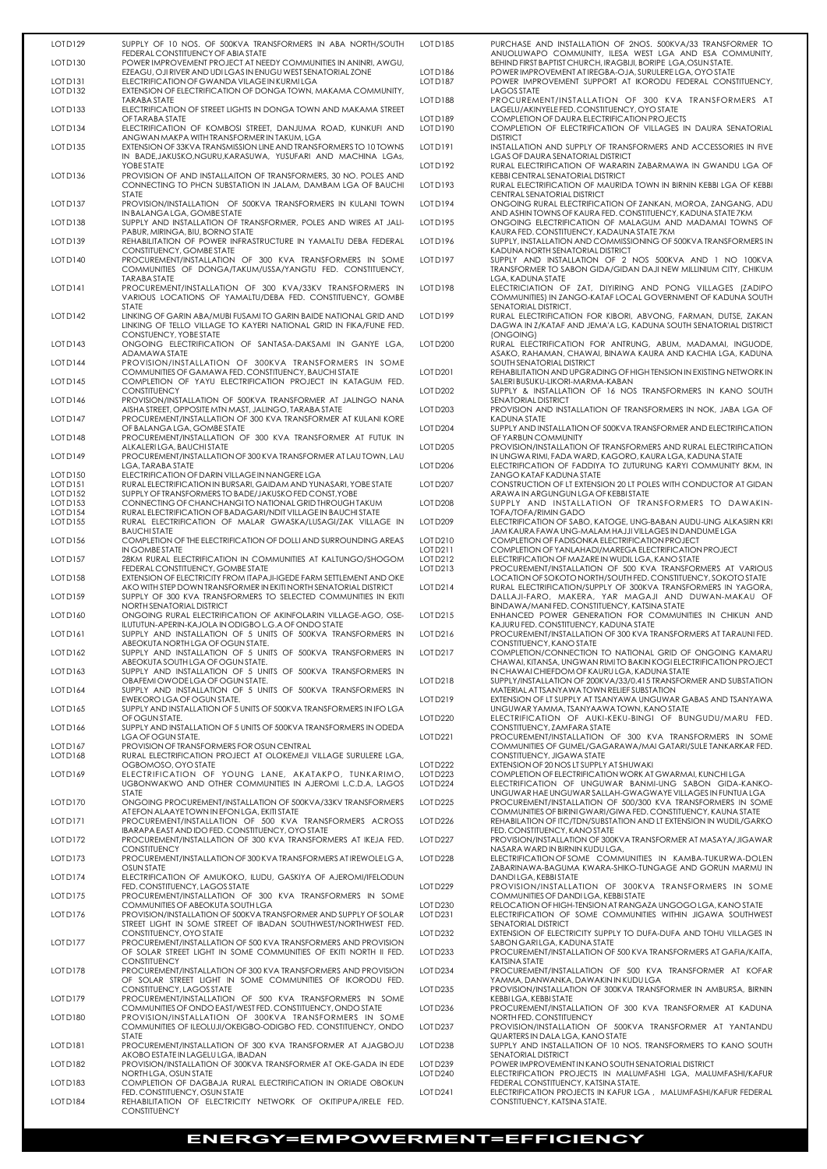| LOTD129                         | SUPPLY OF 10 NOS. OF 500KVA TRANSFORMERS IN ABA NORTH/SOUTH<br>FEDERAL CONSTITUENCY OF ABIA STATE                                                       | LOTD185              | PURCHASE AND INSTALLATION OF 2NOS. 500KVA/33 TRANSFORMER TO<br>ANUOLUWAPO COMMUNITY, ILESA WEST LGA AND ESA COMMUNITY,                                                                          |
|---------------------------------|---------------------------------------------------------------------------------------------------------------------------------------------------------|----------------------|-------------------------------------------------------------------------------------------------------------------------------------------------------------------------------------------------|
| LOT D <sub>130</sub>            | POWER IMPROVEMENT PROJECT AT NEEDY COMMUNITIES IN ANINRI, AWGU,<br>EZEAGU, OJI RIVER AND UDI LGAS IN ENUGU WEST SENATORIAL ZONE                         | LOT D186             | BEHIND FIRST BAPTIST CHURCH, IRAGBIJI, BORIPE LGA, OSUN STATE.<br>POWER IMPROVEMENT AT IREGBA-OJA, SURULERE LGA, OYO STATE                                                                      |
| LOTD131<br>LOTD132              | ELECTRIFICATION OF GWANDA VILAGE IN KURMILGA<br>EXTENSION OF ELECTRIFICATION OF DONGA TOWN, MAKAMA COMMUNITY,<br>TARABA STATE                           | LOTD187<br>LOTD188   | POWER IMPROVEMENT SUPPORT AT IKORODU FEDERAL CONSTITUENCY,<br>LAGOS STATE<br>PROCUREMENT/INSTALLATION OF 300 KVA TRANSFORMERS AT                                                                |
| LOTD133                         | ELECTRIFICATION OF STREET LIGHTS IN DONGA TOWN AND MAKAMA STREET<br>OF TARABA STATE                                                                     | LOTD189              | LAGELU/AKINYELE FED. CONSTITUENCY, OYO STATE<br>COMPLETION OF DAURA ELECTRIFICATION PROJECTS                                                                                                    |
| LOTD134                         | ELECTRIFICATION OF KOMBOSI STREET, DANJUMA ROAD, KUNKUFI AND<br>ANGWAN MAKPA WITH TRANSFORMER IN TAKUM, LGA                                             | LOTD190              | COMPLETION OF ELECTRIFICATION OF VILLAGES IN DAURA SENATORIAL<br><b>DISTRICT</b>                                                                                                                |
| LOTD135                         | EXTENSION OF 33KVA TRANSMISSION LINE AND TRANSFORMERS TO 10 TOWNS<br>IN BADE, JAKUSKO, NGURU, KARASUWA, YUSUFARI AND MACHINA LGAS,                      | LOT D191             | INSTALLATION AND SUPPLY OF TRANSFORMERS AND ACCESSORIES IN FIVE<br>LGAS OF DAURA SENATORIAL DISTRICT                                                                                            |
| LOTD136                         | <b>YOBE STATE</b><br>PROVISION OF AND INSTALLAITON OF TRANSFORMERS, 30 NO. POLES AND                                                                    | LOTD192              | RURAL ELECTRIFICATION OF WARARIN ZABARMAWA IN GWANDU LGA OF<br>KEBBI CENTRAL SENATORIAL DISTRICT                                                                                                |
|                                 | CONNECTING TO PHCN SUBSTATION IN JALAM, DAMBAM LGA OF BAUCHI<br><b>STATE</b>                                                                            | LOTD193              | RURAL ELECTRIFICATION OF MAURIDA TOWN IN BIRNIN KEBBI LGA OF KEBBI<br>CENTRAL SENATORIAL DISTRICT                                                                                               |
| LOTD137                         | PROVISION/INSTALLATION OF 500KVA TRANSFORMERS IN KULANI TOWN<br>IN BALANGA LGA, GOMBE STATE                                                             | LOTD194              | ONGOING RURAL ELECTRIFICATION OF ZANKAN, MOROA, ZANGANG, ADU<br>AND ASHIN TOWNS OF KAURA FED. CONSTITUENCY, KADUNA STATE 7KM                                                                    |
| LOTD138                         | SUPPLY AND INSTALLATION OF TRANSFORMER, POLES AND WIRES AT JALI-<br>PABUR, MIRINGA, BIU, BORNO STATE                                                    | <b>LOTD195</b>       | ONGOING ELECTRIFICATION OF MALAGUM AND MADAMAI TOWNS OF<br>KAURA FED. CONSTITUENCY, KADAUNA STATE 7KM                                                                                           |
| LOTD139                         | REHABILITATION OF POWER INFRASTRUCTURE IN YAMALTU DEBA FEDERAL<br>CONSTITUENCY, GOMBE STATE                                                             | LOTD196              | SUPPLY, INSTALLATION AND COMMISSIONING OF 500KVA TRANSFORMERS IN<br>KADUNA NORTH SENATORIAL DISTRICT                                                                                            |
| LOTD140                         | PROCUREMENT/INSTALLATION OF 300 KVA TRANSFORMERS IN SOME<br>COMMUNITIES OF DONGA/TAKUM/USSA/YANGTU FED. CONSTITUENCY,                                   | LOTD197              | SUPPLY AND INSTALLATION OF 2 NOS 500KVA AND 1 NO 100KVA<br>TRANSFORMER TO SABON GIDA/GIDAN DAJI NEW MILLINIUM CITY, CHIKUM                                                                      |
| LOTD141                         | TARABA STATE<br>PROCUREMENT/INSTALLATION OF 300 KVA/33KV TRANSFORMERS IN<br>VARIOUS LOCATIONS OF YAMALTU/DEBA FED. CONSTITUENCY, GOMBE                  | LOTD198              | LGA, KADUNA STATE<br>ELECTRICIATION OF ZAT, DIYIRING AND PONG VILLAGES (ZADIPO<br>COMMUNITIES) IN ZANGO-KATAF LOCAL GOVERNMENT OF KADUNA SOUTH                                                  |
| LOTD142                         | <b>STATE</b><br>LINKING OF GARIN ABA/MUBI FUSAMI TO GARIN BAIDE NATIONAL GRID AND<br>LINKING OF TELLO VILLAGE TO KAYERI NATIONAL GRID IN FIKA/FUNE FED. | LOTD199              | SENATORIAL DISTRICT.<br>RURAL ELECTRIFICATION FOR KIBORI, ABVONG, FARMAN, DUTSE, ZAKAN<br>DAGWA IN Z/KATAF AND JEMA'A LG, KADUNA SOUTH SENATORIAL DISTRICT                                      |
| LOTD143                         | CONSTUENCY, YOBE STATE<br>ONGOING ELECTRIFICATION OF SANTASA-DAKSAMI IN GANYE LGA,                                                                      | <b>LOT D200</b>      | (ONGOING)<br>RURAL ELECTRIFICATION FOR ANTRUNG, ABUM, MADAMAI, INGUODE,                                                                                                                         |
| LOTD144                         | ADAMAWA STATE<br>PROVISION/INSTALLATION OF 300KVA TRANSFORMERS IN SOME                                                                                  |                      | ASAKO, RAHAMAN, CHAWAI, BINAWA KAURA AND KACHIA LGA, KADUNA<br>SOUTH SENATORIAL DISTRICT                                                                                                        |
| LOTD145                         | COMMUNITIES OF GAMAWA FED. CONSTITUENCY, BAUCHI STATE<br>COMPLETION OF YAYU ELECTRIFICATION PROJECT IN KATAGUM FED.                                     | LOT D201             | REHABILITATION AND UPGRADING OF HIGH TENSION IN EXISTING NETWORK IN<br>SALERI BUSUKU-LIKORI-MARMA-KABAN                                                                                         |
| LOTD146                         | <b>CONSTITUENCY</b><br>PROVISION/INSTALLATION OF 500KVA TRANSFORMER AT JALINGO NANA                                                                     | LOT D <sub>202</sub> | SUPPLY & INSTALLATION OF 16 NOS TRANSFORMERS IN KANO SOUTH<br>SENATORIAL DISTRICT                                                                                                               |
| LOTD147                         | AISHA STREET, OPPOSITE MTN MAST, JALINGO, TARABA STATE<br>PROCUREMENT/INSTALLATION OF 300 KVA TRANSFORMER AT KULANI KORE                                | LOT D203             | PROVISION AND INSTALLATION OF TRANSFORMERS IN NOK, JABA LGA OF<br>KADUNA STATE                                                                                                                  |
| LOTD148                         | OF BALANGA LGA, GOMBE STATE<br>PROCUREMENT/INSTALLATION OF 300 KVA TRANSFORMER AT FUTUK IN<br>ALKALERILGA, BAUCHISTATE                                  | LOT D204<br>LOT D205 | SUPPLY AND INSTALLATION OF 500KVA TRANSFORMER AND ELECTRIFICATION<br>OF YARBUN COMMUNITY                                                                                                        |
| LOTD149                         | PROCUREMENT/INSTALLATION OF 300 KVA TRANSFORMER AT LAU TOWN, LAU<br>LGA, TARABA STATE                                                                   | LOT D <sub>206</sub> | PROVISION/INSTALLATION OF TRANSFORMERS AND RURAL ELECTRIFICATION<br>IN UNGWA RIMI, FADA WARD, KAGORO, KAURA LGA, KADUNA STATE<br>ELECTRIFICATION OF FADDIYA TO ZUTURUNG KARYI COMMUNITY 8KM, IN |
| LOT D150<br>LOTD <sub>151</sub> | ELECTRIFICATION OF DARIN VILLAGE IN NANGERE LGA<br>RURAL ELECTRIFICATION IN BURSARI, GAIDAM AND YUNASARI, YOBE STATE                                    | LOT D207             | ZANGO KATAF KADUNA STATE<br>CONSTRUCTION OF LT EXTENSION 20 LT POLES WITH CONDUCTOR AT GIDAN                                                                                                    |
| LOTD152                         | SUPPLY OF TRANSFORMERS TO BADE/JAKUSKO FED CONST, YOBE                                                                                                  |                      | ARAWA IN ARGUNGUN LGA OF KEBBISTATE                                                                                                                                                             |
| LOT D153<br>LOTD154             | CONNECTING OF CHANCHANGITO NATIONAL GRID THROUGH TAKUM<br>RURAL ELECTRIFICATION OF BADAGARI/NDIT VILLAGE IN BAUCHI STATE                                | LOT D208             | SUPPLY AND INSTALLATION OF TRANSFORMERS TO DAWAKIN-<br><b>TOFA/TOFA/RIMIN GADO</b>                                                                                                              |
| LOT D155                        | RURAL ELECTRIFICATION OF MALAR GWASKA/LUSAGI/ZAK VILLAGE IN<br><b>BAUCHISTATE</b>                                                                       | LOTD209              | ELECTRIFICATION OF SABO, KATOGE, UNG-BABAN AUDU-UNG ALKASIRN KRI<br>JAM KAURA FAWA UNG-MALAM HAJJI VILLAGES IN DANDUME LGA                                                                      |
| LOTD156                         | COMPLETION OF THE ELECTRIFICATION OF DOLLI AND SURROUNDING AREAS<br>IN GOMBESTATE                                                                       | LOT D210<br>LOT D211 | COMPLETION OF FADISONKA ELECTRIFICATION PROJECT<br>COMPLETION OF YANLAHADI/MAREGA ELECTRIFICATION PROJECT                                                                                       |
| LOTD157                         | 28KM RURAL ELECTRIFICATION IN COMMUNITIES AT KALTUNGO/SHOGOM                                                                                            | LOT D212             | ELECTRIFICATION OF MAZARE IN WUDIL LGA, KANO STATE                                                                                                                                              |
| LOTD158                         | FEDERAL CONSTITUENCY, GOMBE STATE<br>EXTENSION OF ELECTRICITY FROM ITAPAJI-IGEDE FARM SETTLEMENT AND OKE                                                | LOT D213             | PROCUREMENT/INSTALLATION OF 500 KVA TRANSFORMERS AT VARIOUS<br>LOCATION OF SOKOTO NORTH/SOUTH FED. CONSTITUENCY, SOKOTO STATE                                                                   |
|                                 | AKO WITH STEP DOWN TRANSFORMER IN EKITI NORTH SENATORIAL DISTRICT                                                                                       | LOT D214             | RURAL ELECTRIFICATION/SUPPLY OF 300KVA TRANSFORMERS IN YAGORA,                                                                                                                                  |
| LOTD159                         | SUPPLY OF 300 KVA TRANSFORMERS TO SELECTED COMMUNITIES IN EKITI<br>NORTH SENATORIAL DISTRICT                                                            |                      | DALLAJI-FARO, MAKERA, YAR MAGAJI AND DUWAN-MAKAU OF<br>BINDAWA/MANI FED. CONSTITUENCY, KATSINA STATE                                                                                            |
| LOTD160                         | ONGOING RURAL ELECTRIFICATION OF AKINFOLARIN VILLAGE-AGO, OSE-<br>ILUTUTUN-APERIN-KAJOLA IN ODIGBO L.G.A OF ONDO STATE                                  | LOT D215             | ENHANCED POWER GENERATION FOR COMMUNITIES IN CHIKUN AND<br>KAJURU FED. CONSTITUENCY, KADUNA STATE                                                                                               |
| LOTD <sub>161</sub>             | SUPPLY AND INSTALLATION OF 5 UNITS OF 500KVA TRANSFORMERS IN<br>ABEOKUTA NORTH LGA OF OGUN STATE.                                                       | LOT D216             | PROCUREMENT/INSTALLATION OF 300 KVA TRANSFORMERS AT TARAUNI FED.<br>CONSTITUENCY, KANO STATE                                                                                                    |
| LOTD162                         | SUPPLY AND INSTALLATION OF 5 UNITS OF 500KVA TRANSFORMERS IN<br>ABEOKUTA SOUTH LGA OF OGUN STATE.                                                       | LOT D217             | COMPLETION/CONNECTION TO NATIONAL GRID OF ONGOING KAMARU<br>CHAWAI, KITANSA, UNGWAN RIMI TO BAKIN KOGI ELECTRIFICATION PROJECT                                                                  |
| LOT D <sub>163</sub>            | SUPPLY AND INSTALLATION OF 5 UNITS OF 500KVA TRANSFORMERS IN<br>OBAFEMI OWODE LGA OF OGUN STATE.                                                        | LOT D218             | IN CHAWAI CHIEFDOM OF KAURULGA, KADUNA STATE<br>SUPPLY/INSTALLATION OF 200KVA/33/0.415 TRANSFORMER AND SUBSTATION                                                                               |
| LOTD164                         | SUPPLY AND INSTALLATION OF 5 UNITS OF 500KVA TRANSFORMERS IN<br>EWEKORO LGA OF OGUN STATE.                                                              | LOT D219             | MATERIAL AT TSANYAWA TOWN RELIEF SUBSTATION<br>EXTENSION OF LT SUPPLY AT TSANYAWA UNGUWAR GABAS AND TSANYAWA                                                                                    |
| LOTD165                         | SUPPLY AND INSTALLATION OF 5 UNITS OF 500KVA TRANSFORMERS IN IFO LGA<br>OF OGUN STATE.                                                                  | <b>LOT D220</b>      | UNGUWAR YAMMA, TSANYAAWA TOWN, KANO STATE<br>ELECTRIFICATION OF AUKI-KEKU-BINGI OF BUNGUDU/MARU FED.                                                                                            |
| LOTD166                         | SUPPLY AND INSTALLATION OF 5 UNITS OF 500KVA TRANSFORMERS IN ODEDA<br>LGA OF OGUN STATE.                                                                | LOT D221             | CONSTITUENCY, ZAMFARA STATE<br>PROCUREMENT/INSTALLATION OF 300 KVA TRANSFORMERS IN SOME                                                                                                         |
| LOTD167<br>LOTD168              | PROVISION OF TRANSFORMERS FOR OSUN CENTRAL<br>RURAL ELECTRIFICATION PROJECT AT OLOKEMEJI VILLAGE SURULERE LGA,                                          |                      | COMMUNITIES OF GUMEL/GAGARAWA/MAI GATARI/SULE TANKARKAR FED.<br>CONSTITUENCY, JIGAWA STATE                                                                                                      |
| LOTD169                         | OGBOMOSO, OYO STATE<br>ELECTRIFICATION OF YOUNG LANE, AKATAKPO, TUNKARIMO,                                                                              | LOT D222<br>LOT D223 | EXTENSION OF 20 NOS LT SUPPLY AT SHUWAKI<br>COMPLETION OF ELECTRIFICATION WORK AT GWARMAI, KUNCHI LGA                                                                                           |
|                                 | UGBONWAKWO AND OTHER COMMUNITIES IN AJEROMI L.C.D.A, LAGOS<br>STATE                                                                                     | LOT D224             | ELECTRIFICATION OF UNGUWAR BANMI-UNG SABON GIDA-KANKO-<br>UNGUWAR HAE UNGUWAR SALLAH-GWAGWAYE VILLAGES IN FUNTUA LGA                                                                            |
| LOTD170                         | ONGOING PROCUREMENT/INSTALLATION OF 500KVA/33KV TRANSFORMERS<br>AT EFON ALAAYE TOWN IN EFON LGA, EKITI STATE                                            | <b>LOT D225</b>      | PROCUREMENT/INSTALLATION OF 500/300 KVA TRANSFORMERS IN SOME<br>COMMUNITIES OF BIRINI GWARI/GIWA FED. CONSTITUENCY, KAUNA STATE                                                                 |
| LOTD <sub>171</sub>             | PROCUREMENT/INSTALLATION OF 500 KVA TRANSFORMERS ACROSS<br>IBARAPA EAST AND IDO FED. CONSTITUENCY, OYO STATE                                            | LOT D <sub>226</sub> | REHABILATION OF ITC/TDN/SUBSTATION AND LT EXTENSION IN WUDIL/GARKO<br>FED. CONSTITUENCY, KANO STATE                                                                                             |
| LOTD172                         | PROCUREMENT/INSTALLATION OF 300 KVA TRANSFORMERS AT IKEJA FED.<br><b>CONSTITUENCY</b>                                                                   | LOT D <sub>227</sub> | PROVISION/INSTALLATION OF 300KVA TRANSFORMER AT MASAYA/JIGAWAR<br>NASARA WARD IN BIRNIN KUDU LGA,                                                                                               |
| LOTD173                         | PROCUREMENT/INSTALLATION OF 300 KVA TRANSFORMERS AT IREWOLE LG A,<br><b>OSUN STATE</b>                                                                  | LOT D <sub>228</sub> | ELECTRIFICATION OF SOME COMMUNITIES IN KAMBA-TUKURWA-DOLEN<br>ZABARINAWA-BAGUMA KWARA-SHIKO-TUNGAGE AND GORUN MARMU IN                                                                          |
| LOTD174                         | ELECTRIFICATION OF AMUKOKO, ILUDU, GASKIYA OF AJEROMI/IFELODUN                                                                                          |                      | DANDILGA, KEBBISTATE                                                                                                                                                                            |

| 85       | PURCHASE AND INSTALLATION OF 2NOS. 500KVA/33 TRANSFORMER TO<br>ANUOLUWAPO COMMUNITY, ILESA WEST LGA AND ESA COMMUNITY,          |
|----------|---------------------------------------------------------------------------------------------------------------------------------|
|          | BEHIND FIRST BAPTIST CHURCH, IRAGBIJI, BORIPE LGA, OSUN STATE.                                                                  |
| 86       | POWER IMPROVEMENT AT IREGBA-OJA, SURULERE LGA, OYO STATE                                                                        |
| 87       | POWER IMPROVEMENT SUPPORT AT IKORODU FEDERAL CONSTITUENCY,<br>LAGOS STATE                                                       |
| 88       | PROCUREMENT/INSTALLATION OF 300 KVA TRANSFORMERS AT                                                                             |
|          | LAGELU/AKINYELE FED. CONSTITUENCY, OYO STATE<br>COMPLETION OF DAURA ELECTRIFICATION PROJECTS                                    |
| 89<br>90 | COMPLETION OF ELECTRIFICATION OF VILLAGES IN DAURA SENATORIAL                                                                   |
|          | <b>DISTRICT</b>                                                                                                                 |
| 91       | INSTALLATION AND SUPPLY OF TRANSFORMERS AND ACCESSORIES IN FIVE                                                                 |
| 92       | LGAS OF DAURA SENATORIAL DISTRICT<br>RURAL ELECTRIFICATION OF WARARIN ZABARMAWA IN GWANDU LGA OF                                |
|          | KEBBI CENTRAL SENATORIAL DISTRICT                                                                                               |
| 93       | RURAL ELECTRIFICATION OF MAURIDA TOWN IN BIRNIN KEBBI LGA OF KEBBI<br>CENTRAL SENATORIAL DISTRICT                               |
| 94       | ONGOING RURAL ELECTRIFICATION OF ZANKAN, MOROA, ZANGANG, ADU                                                                    |
| 95       | AND ASHIN TOWNS OF KAURA FED. CONSTITUENCY, KADUNA STATE 7KM<br>ONGOING ELECTRIFICATION OF MALAGUM AND MADAMAI TOWNS OF         |
|          | KAURA FED. CONSTITUENCY, KADAUNA STATE 7KM                                                                                      |
| 96       | SUPPLY, INSTALLATION AND COMMISSIONING OF 500KVA TRANSFORMERS IN<br>KADUNA NORTH SENATORIAL DISTRICT                            |
| 97       | SUPPLY AND INSTALLATION OF 2 NOS 500KVA AND 1 NO 100KVA                                                                         |
|          | TRANSFORMER TO SABON GIDA/GIDAN DAJI NEW MILLINIUM CITY, CHIKUM<br>LGA, KADUNA STATE                                            |
| 98       | ELECTRICIATION OF ZAT, DIYIRING AND PONG VILLAGES (ZADIPO                                                                       |
|          | COMMUNITIES) IN ZANGO-KATAF LOCAL GOVERNMENT OF KADUNA SOUTH                                                                    |
| 99       | SENATORIAL DISTRICT.<br>RURAL ELECTRIFICATION FOR KIBORI, ABVONG, FARMAN, DUTSE, ZAKAN                                          |
|          | DAGWA IN Z/KATAF AND JEMA'A LG, KADUNA SOUTH SENATORIAL DISTRICT                                                                |
|          | (ONGOING)                                                                                                                       |
| :00      | RURAL ELECTRIFICATION FOR ANTRUNG, ABUM, MADAMAI, INGUODE,<br>ASAKO, RAHAMAN, CHAWAI, BINAWA KAURA AND KACHIA LGA, KADUNA       |
| 201      | SOUTH SENATORIAL DISTRICT<br>REHABILITATION AND UPGRADING OF HIGH TENSION IN EXISTING NETWORK IN                                |
|          | SALERI BUSUKU-LIKORI-MARMA-KABAN                                                                                                |
| :02      | SUPPLY & INSTALLATION OF 16 NOS TRANSFORMERS IN KANO SOUTH<br>SENATORIAL DISTRICT                                               |
| :03      | PROVISION AND INSTALLATION OF TRANSFORMERS IN NOK, JABA LGA OF                                                                  |
| :04      | <b>KADUNA STATE</b><br>SUPPLY AND INSTALLATION OF 500KVA TRANSFORMER AND ELECTRIFICATION                                        |
| 205      | OF YARBUN COMMUNITY<br>PROVISION/INSTALLATION OF TRANSFORMERS AND RURAL ELECTRIFICATION                                         |
|          | IN UNGWA RIMI, FADA WARD, KAGORO, KAURA LGA, KADUNA STATE                                                                       |
| :06      | ELECTRIFICATION OF FADDIYA TO ZUTURUNG KARYI COMMUNITY 8KM, IN<br>ZANGO KATAF KADUNA STATE                                      |
| :07      | CONSTRUCTION OF LT EXTENSION 20 LT POLES WITH CONDUCTOR AT GIDAN<br>ARAWA IN ARGUNGUN LGA OF KEBBI STATE                        |
| :08      | SUPPLY AND INSTALLATION OF TRANSFORMERS TO DAWAKIN-                                                                             |
| 09؛      | <b>TOFA/TOFA/RIMIN GADO</b><br>ELECTRIFICATION OF SABO, KATOGE, UNG-BABAN AUDU-UNG ALKASIRN KRI                                 |
|          | JAM KAURA FAWA UNG-MALAM HAJJI VILLAGES IN DANDUME LGA                                                                          |
| !10      | COMPLETION OF FADISONKA ELECTRIFICATION PROJECT                                                                                 |
| !11      | COMPLETION OF YANLAHADI/MAREGA ELECTRIFICATION PROJECT                                                                          |
| :12      | ELECTRIFICATION OF MAZARE IN WUDIL LGA, KANO STATE                                                                              |
| !13      | PROCUREMENT/INSTALLATION OF 500 KVA TRANSFORMERS AT VARIOUS                                                                     |
|          | LOCATION OF SOKOTO NORTH/SOUTH FED. CONSTITUENCY, SOKOTO STATE                                                                  |
| :14      | RURAL ELECTRIFICATION/SUPPLY OF 300KVA TRANSFORMERS IN YAGORA,<br>DALLAJI-FARO, MAKERA, YAR MAGAJI AND DUWAN-MAKAU OF           |
|          | BINDAWA/MANI FED. CONSTITUENCY, KATSINA STATE                                                                                   |
| :15      | ENHANCED POWER GENERATION FOR COMMUNITIES IN CHIKUN AND                                                                         |
|          | KAJURU FED. CONSTITUENCY, KADUNA STATE                                                                                          |
| :16      | PROCUREMENT/INSTALLATION OF 300 KVA TRANSFORMERS AT TARAUNI FED.<br>CONSTITUENCY, KANO STATE                                    |
| :17      | COMPLETION/CONNECTION TO NATIONAL GRID OF ONGOING KAMARU                                                                        |
|          | CHAWAI, KITANSA, UNGWAN RIMI TO BAKIN KOGI ELECTRIFICATION PROJECT<br>IN CHAWAI CHIEFDOM OF KAURULGA, KADUNA STATE              |
| !18      | SUPPLY/INSTALLATION OF 200KVA/33/0.415 TRANSFORMER AND SUBSTATION                                                               |
|          | MATERIAL AT TSANYAWA TOWN RELIEF SUBSTATION                                                                                     |
| !19      | EXTENSION OF LT SUPPLY AT TSANYAWA UNGUWAR GABAS AND TSANYAWA<br>UNGUWAR YAMMA, ISANYAAWA TOWN, KANO STATE                      |
| 20       | ELECTRIFICATION OF AUKI-KEKU-BINGI OF BUNGUDU/MARU FED.<br>CONSTITUENCY, ZAMFARA STATE                                          |
| :21      | PROCUREMENT/INSTALLATION OF 300 KVA TRANSFORMERS IN SOME                                                                        |
|          | COMMUNITIES OF GUMEL/GAGARAWA/MAI GATARI/SULE TANKARKAR FED.                                                                    |
| 22       | CONSTITUENCY, JIGAWA STATE<br>EXTENSION OF 20 NOS LT SUPPLY AT SHUWAKI                                                          |
| 23.      | COMPLETION OF ELECTRIFICATION WORK AT GWARMAI, KUNCHI LGA                                                                       |
| 24       | ELECTRIFICATION OF UNGUWAR BANMI-UNG SABON GIDA-KANKO-                                                                          |
|          | UNGUWAR HAE UNGUWAR SALLAH-GWAGWAYE VILLAGES IN FUNTUA LGA                                                                      |
| :25      | PROCUREMENT/INSTALLATION OF 500/300 KVA TRANSFORMERS IN SOME<br>COMMUNITIES OF BIRINI GWARI/GIWA FED. CONSTITUENCY, KAUNA STATE |
| 26       | REHABILATION OF ITC/TDN/SUBSTATION AND LT EXTENSION IN WUDIL/GARKO                                                              |
| 27       | FED. CONSTITUENCY, KANO STATE<br>PROVISION/INSTALLATION OF 300KVA TRANSFORMER AT MASAYA/JIGAWAR                                 |
|          | NASARA WARD IN BIRNIN KUDU LGA,                                                                                                 |
| :28      | ELECTRIFICATION OF SOME COMMUNITIES IN KAMBA-TUKURWA-DOLEN                                                                      |
|          | ZABARINAWA-BAGUMA KWARA-SHIKO-TUNGAGE AND GORUN MARMU IN<br>DANDILGA KEBBISTATE                                                 |

|                     | FED. CONSTITUENCY, LAGOS STATE                                        | LOT D229             | PROVISION/INSTALLATION OF 300KVA TRANSFORMERS IN SOME             |
|---------------------|-----------------------------------------------------------------------|----------------------|-------------------------------------------------------------------|
| LOTD175             | PROCUREMENT/INSTALLATION OF 300 KVA TRANSFORMERS IN SOME              |                      | COMMUNITIES OF DANDILGA, KEBBISTATE                               |
|                     | COMMUNITIES OF ABEOKUTA SOUTH LGA                                     | LOT D <sub>230</sub> | RELOCATION OF HIGH-TENSION AT RANGAZA UNGOGO LGA, KANO STATE      |
| LOTD176             | PROVISION/INSTALLATION OF 500KVA TRANSFORMER AND SUPPLY OF SOLAR      | LOTD231              | ELECTRIFICATION OF SOME COMMUNITIES WITHIN JIGAWA SOUTHWEST       |
|                     | STREET LIGHT IN SOME STREET OF IBADAN SOUTHWEST/NORTHWEST FED.        |                      | SENATORIAL DISTRICT                                               |
|                     | CONSTITUENCY, OYO STATE                                               | LOTD232              | EXTENSION OF ELECTRICITY SUPPLY TO DUFA-DUFA AND TOHU VILLAGES IN |
| LOTD177             | <b>PROCUREMENT/INSTALLATION OF 500 KVA TRANSFORMERS AND PROVISION</b> |                      | SABON GARILGA, KADUNA STATE                                       |
|                     | OF SOLAR STREET LIGHT IN SOME COMMUNITIES OF EKITI NORTH II FED.      | LOTD233              | PROCUREMENT/INSTALLATION OF 500 KVA TRANSFORMERS AT GAFIA/KAITA,  |
|                     | <b>CONSTITUENCY</b>                                                   |                      | KATSINA STATE                                                     |
| LOTD178             | <b>PROCUREMENT/INSTALLATION OF 300 KVA TRANSFORMERS AND PROVISION</b> | LOTD <sub>234</sub>  | PROCUREMENT/INSTALLATION OF 500 KVA TRANSFORMER AT KOFAR          |
|                     | OF SOLAR STREET LIGHT IN SOME COMMUNITIES OF IKORODU FED.             |                      | YAMMA, DANWANKA, DAWAKIN IN KUDU LGA                              |
|                     | CONSTITUENCY, LAGOS STATE                                             | LOT D <sub>235</sub> | PROVISION/INSTALLATION OF 300KVA TRANSFORMER IN AMBURSA, BIRNIN   |
| LOTD179             | PROCUREMENT/INSTALLATION OF 500 KVA TRANSFORMERS IN SOME              |                      | KEBBILGA, KEBBISTATE                                              |
|                     | COMMUNITIES OF ONDO EAST/WEST FED. CONSTITUENCY, ONDO STATE           | LOT D <sub>236</sub> | PROCUREMENT/INSTALLATION OF 300 KVA TRANSFORMER AT KADUNA         |
| LOTD180             | PROVISION/INSTALLATION OF 300KVA TRANSFORMERS IN SOME                 |                      | NORTH FED. CONSTITUENCY                                           |
|                     | COMMUNITIES OF ILEOLUJI/OKEIGBO-ODIGBO FED. CONSTITUENCY, ONDO        | LOT D <sub>237</sub> | PROVISION/INSTALLATION OF 500KVA TRANSFORMER AT YANTANDU          |
|                     | <b>STATE</b>                                                          |                      | QUARTERS IN DALA LGA, KANO STATE                                  |
| LOTD <sub>181</sub> | PROCUREMENT/INSTALLATION OF 300 KVA TRANSFORMER AT AJAGBOJU           | LOT D <sub>238</sub> | SUPPLY AND INSTALLATION OF 10 NOS. TRANSFORMERS TO KANO SOUTH     |
|                     | AKOBO ESTATE IN LAGELU LGA, IBADAN                                    |                      | SENATORIAL DISTRICT                                               |
| LOTD182             | PROVISION/INSTALLATION OF 300KVA TRANSFORMER AT OKE-GADA IN EDE       | LOT D <sub>239</sub> | POWER IMPROVEMENT IN KANO SOUTH SENATORIAL DISTRICT               |
|                     | NORTH LGA, OSUN STATE                                                 | LOT D <sub>240</sub> | ELECTRIFICATION PROJECTS IN MALUMFASHI LGA, MALUMFASHI/KAFUR      |
| LOTD183             | COMPLETION OF DAGBAJA RURAL ELECTRIFICATION IN ORIADE OBOKUN          |                      | FEDERAL CONSTITUENCY, KATSINA STATE.                              |
|                     | FED. CONSTITUENCY, OSUN STATE                                         | LOT D241             | ELECTRIFICATION PROJECTS IN KAFUR LGA, MALUMFASHI/KAFUR FEDERAL   |
| LOTD184             | REHABILITATION OF ELECTRICITY NETWORK OF OKITIPUPA/IRELE FED.         |                      | CONSTITUENCY, KATSINA STATE.                                      |
|                     | <b>CONSTITUENCY</b>                                                   |                      |                                                                   |